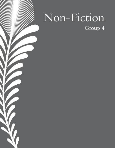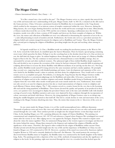## The Mogao Grotto

#### Chinese International School, Choi, Danny - 16

"It is like a tunnel into a lost world in the past". The Mogao Grottoes serves as a time capsule that unravels the way of life and transcends one's understanding of the past. Mogao Grotto, built-in 366 CE, is situated on the silk road in the Gansu province, China. It became a prominent location for Buddhists due to its popularity in the Tang dynasty which resulted in the emergence of an intricate system of temples constructed within the caves. However, during the Ming dynasty, the caves began shutting themselves out from the world and became seemingly lost in time. Miraculously, a Chinese monk discovered the cave in the 1900s and the rest is history. Spanning a millennium since the Grotta's inception, monks were able to form a system of 492 temples and showcase the finest examples of religious art. Within the caves, the statues and collections of Buddhist art were very influential in determining the expression of art in the era - a style still permeating in much of modern artwork. Furthermore, the Grotto also serves as a prevalent sanctuary for religious beliefs and contains integral documents for religions such as Buddhism and Taoism. Thus, the Mogao Grottoes play a pivotal part in shaping the religion of Buddhism, providing insight into the past and teaching values among its audience.

As legends would have it, Le Zun, a Buddhist monk was making his treacherous journey to the West in 366 CE. As he crossed the Gobi desert, he stumbled upon the Sanwei Mountain; There he found a special spring containing sweet water which quenches his thirst. Perhaps it was the scorching heat or the desolate desert but as Le Zun sat down to rest, the dull dusk sky began to glow. Its radiant brightness shone through the desert and an image of a Maitreya Buddha began to float in the sky. The sky continues to transcend into a thousand beams as more Buddhas emerge, they are surrounded by servants and other mythical creatures. The ephemeral sight of these deified Buddhas deeply inspired Le Zun and decided to stay to pursue the recreation of the visions he had just witnessed. His masterful skills in painting and sculpting allowed him to recreate the divine Buddhas with different mediums of art and dig out the first cave. Not long after, another Buddhist monk named Fa Liang arrived at the same mountain and had a similar epiphany. He promptly dug a second cave, engraving them with detailed paintings and statues. Later development and expansion of the caves were fueled by the Buddhist monk's values in austerity and their desire for enlightenment. They would seek to retreat in remote caves to accomplish such goals. Nevertheless, it is during the Tang Dynasty that the Mogao Grottoes swiftly established themselves as a prominent pilgrimage site for Buddhists and artists alike. It became a sanctuary for the expression of religion and art in the countless scriptures and murals. Buddhist monks living in Dunhuang would collect scripture from the west while other monks would paint and create murals inside the caves. Furthermore, these murals not only served as an oasis for religious practices but also as visual representations of religious events to enlighten and teach illiterate Chinese about religion. The 7-8th centuries served as a creative boom for the cave due to the booming silk road and the rising popularity of Buddhism. These factors elevated the quality and quantity of art produced in these caves; cave painters were encouraged to display the prevalent Chinese style at the time and embellish walls with detailed carvings of sacred events. Buddhist narratives and scenes were depicted by these sculptures through the incorporation of colour, movement and detail with finesse. However, the rising popularity of Mogao Grottoes came to an abrupt stop during the middle Kingdom and started to shut itself off. This led to a steady decline in visits and innovation of the caves, resulting in the Mogao Grottoes dissolving into time. Thus, the stories that remain in the re-discovery of the caves are timeless.

As one enters inside the Mogao Grotto, it is as if the world metamorphosed into a different dimension. Thousands of pathways twist and weave like vines and within this intricate system of caves are relics and murals scattered around through the cave walls. These artefacts provide an insight into the integral historic events that shape much of China. In the dazzling Mogao cave 323, a painting delineates the origins of Chinese Buddhism. The painting was commissioned and completed between 140-187 CE and references a legend where Emperor Wu worshipped two metal statues after his victory in war. After edging out in a war against the Xiongnu, Emperor Wu wanted to inquire more about the values the statues signified. Thus, he summoned Zhang Qian to the western region to investigate and discover the stories behind the statues. Zhang Qian returned to the Emperor and explained the religion of Buddha and the significance of the statues. Therefore, this legend is often credited for the origins of Buddhism within ancient China. Another pivotal artwork that provided insight into the way of life and the importance of Buddhism to China was also found in Mogao cave 323 constructed in 326 CE. However, a portion of the mural was removed by American explorer Langdon Warner in 1924 and is currently displayed in Harvard's Art Museum. The mural portrays the moving of a discovered bronze Buddha statue in Yangzhou, the Buddha statue was constructed by the fourth daughter of the Indian king, Asoka. The painting provides a depiction of the way of life, methods of transportation and also the significance of religion to the locals. In the painting, eight men traversed through the river via a wooden boat that docked upon the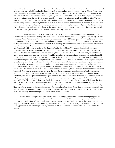shores. Ox carts were arranged to move the bronze Buddha to the town centre. The technology the ancient Chinese had access to were fairly primitive and utilized methods such as boats and ox carts to transport heavier objects. Furthermore, the large amount of manpower mobilized to move the heavy bronze statue elucidates the dedication to Buddhism the locals possessed. Thus, this artwork was able to give a glimpse of the way of life in the past. Another piece of artwork that gave a glimpse into the past lies in Mogao cave 17 of a statue of an influential monk named Hong Bian. The statue depicts him to be peacefully meditating, the craftsmanship displayed is exquisite with precious carvings that transcend its realism. Hong Bian was a crucial figure in the formation of early Buddhism and was the chief of monks in the Hexi area. Moreover, he was highly influential politically and was known to be the highest-ranked religious official in the region. The collections of artworks and relics found in the Mogao Grotto not only acts as a time capsule for stories and legends but also shed light upon lessons and values enshrined into the daily life of Buddhists.

The immersive world in Mogao Grottoes is an escape from reality where stories and legends dominate the narrative through murals and paintings. One of the famous tales depicted on the walls of Mogao Grottoes is a Jakata tale portraying Prince Mahasattva. This masterpiece was constructed in Cave 428 in the year 557-581 and teaches the values of selflessness. The story begins with the King and Queen sending their three sons off into the woods. The terrain was uneven but the surrounding environment was lush with greenery. As they rest at the base of the mountains, the brothers spot a troop of tigers. The mother was frail, and her skin contoured around her feeble bones. She stares at her lion cubs with her mouth wide open, salivating at the thought of eating her children. The brothers immediately came and intervened with the mother, promising to bring her food in exchange for the sparing of the tiger cubs. The youngest, Prince Mahasattva, ordered the other two brothers to gather food while he stayed to look after the tiger. The brothers agreed and went their separate ways to gather food. However, Prince Mahasattva knew that there was no food available for the tigress in the nearby vicinity. After the departure of the two brothers, the Prince took off his clothes and offered himself to the tigress. He wanted the tigress to take his life instead of the lives of her children. To his surprise, the tigress refused and rejected the goodwill from the prince. The prince was in disbelief but his desire to save tigers overwhelmed him. Driven by determination, the prince climbed to the edge of a nearby mountain and took his own life. As his body slumped onto the cold and uneven ground, blood bled profusely from his head. The tigress and her cubs had no choice but to accept the sacrifice made by the prince. When the brothers returned, they were in great shock and knew what had happened. They carried his remains and traversed the cruel forest terrain, they were in deep grief and anguish at the death of their brother. To commemorate his death and recognise his sacrifice, the family built a stupa in his honour. Another legend that is depicted in the murals again discusses the values of selflessness. One day, King Sivi comes across a helpless dove trying to manoeuvre its way from a falcon. To save the dove, King Sivi struck a deal with the falcon to save its life. The falcon demanded that it will only let the dove go if it can receive the same mass of flesh from the King as that of the dove. The King agreed without hesitation and had a butcher slice off the flesh from his legs to offer the falcon. After slicing more and more flesh from his legs, the weight was still not equal to the weight of the dove. Finally, King Sivi offered himself to the falcon in exchange for the sparing of the dove. These timeless stories are entangled with positive values and lessons for people to learn from. Therefore, the caves of Mogao Grottoes are filled with legends and stories that not only inform but inspire and teach crucial values and lessons.

Builtin 366 CE and protected with care till today, the Tang dynasty birthed one of the most prestigious safe havens for religions, the expression of art and literature alike. The impact of the re-discovery of Mogao Grotto is immense as the collections of artwork and statues became synonymous with Buddhism and its doctrines became widely adopted. The Mogao Grotto is truly a masterpiece constructed by man due to the exceptional role in buddhism the cave played, provided insight into the past through a variety of different mediums and offers values to be adopted by the visitors.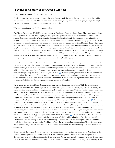## Beyond the Beauty of the Mogao Grottoes

## Diocesan Girls' School, Chung, Mong Joo Nicole  $-17$

Slowly, she enters the Mogao Cave. At once, she is spellbound. With the use of chiaroscuro on the stenciled buddhas and apsarasas, she can almost feel the presence of the celestial beings. Rays of sunlight are seeping through the temple, making them glimmer like gold, enhancing their ethereal quality.

What a site of quintessential Buddhist art and culture.

The Mogao Grottoes is a World Heritage site located in Dunhuang, Gansu province, China. The name 'Mogao' literally means 'peerless' in Chinese, which highlights the unparalleled grandeur of the caves. According to UNESCO, the Mogao Grottoes are situated at a 'strategic point along the Silk Road', which is the crossroads of trade, in addition to religious, cultural and intellectual influences. Dug in the fourth century by monks, thousands of pilgrims visited the site to dig more caves and deck them with art over the centuries until the Yuan dynasty of the Mongols. Today, the Mogao Grottoes with rock-cut architecture form a system of more than a thousand caves and five hundred temples. The cave temples have blossomed into one of the Silk Road's great Mecca's of Buddhist art. The interiors are honeycombed with over 2400 brightly painted sculptures of the Buddha and 45, 000 square meters of murals, the styles of which span across dynasties and cultures. The 'Library Cave', one of the caves of Mogao, once contained a cache of long-hidden ancient documents, which have now been dispersed around the world. [\[1\]](https://en.wikipedia.org/wiki/Mogao_Caves) Mogao has been a place for meditation, pilgrimage, trading, mingling between peoples, and simply admiration throughout the years.

The nickname for the Mogao Grottoes, 'Caves of the Thousand Buddhas', literally lives up to its name. Legends say that Yuezun, a monk, traveled to Dunhang in 366 A.D. During sunset, he wandered to the foot of a mountain and gazed at the breathtaking scenery. As the sunray descended to the peak of the mountain, he saw what seemed to be a thousand golden buddhas blazing on the cliff. Inspired by their grandeur, Yuezun began to chisel a small meditation cell in the rocks, marking the very first carving of the Mogao Grottoes. [\[2\]](https://factsanddetails.com/china/cat15/sub103/entry-6521.html#chapter-15%5C) A seemingly meagre alteration to the mountain would soon turn into the excavation of more than a thousand caves, making them one of the most noteworthy scenic spots today. From the 4th to the 14th century, monastic communities started to carve out larger caverns for public acts of devotion, embellishing the shrines with paintings and sculptures of buddhas.

The tortuous history of the Mogao Grottoes displays persistence through the test of time. With the astonishing cave temples and decorative art, countless people would visit the Mogao Grottoes for various purposes. Besides serving as a site for religious practice and the worshiping of the gods by believers, the Mogao Grottoes was also a place where traders along the Silk Road would stop by to restore supplies, admiring the astonishing caves at the same time. During the rule of Tibet from 781 to 847 AD, Dunhuang was conquered by competing dynasties, local aristocrats, and foreign powers. Despite the frequent discord that surrounded Dunhuang, the creative enterprise of the Mogao Grottoes persisted. Successive rulers financed the carving of new caves and emblazoned them with their own pious images. [\[2\]](https://factsanddetails.com/china/cat15/sub103/entry-6521.html#chapter-15) This displays the extraordinary persistence of the people who made the Mogao Grottoes for what they are today. Unfortunately, Dunhuang was left desolate when the Silk Road was abandoned in the Ming Dynasty, rendering the Mogao Grottoes to be forgotten. In the 1890s, a Daoist monk named Wang Yuanlu appointed himself the guardian of the caves. Miraculously, he discovered a cache of manuscripts that was concealed in one of the Mogao caves, which is now known as the Library Caves. Unbeknownst to the world at the time, the site contained up to fifty thousand ancient documents that included sutras, contracts, poems, prayer sheets and official documents. [\[3\]](https://books.google.com.hk/books?hl=en&lr=&id=vYPNqlAMZWAC&oi=fnd&pg=PP7&dq=mogao+grottoes+in+dunhuang+history+&ots=s-yRnluBCn&sig=UNHVj-zmrDfiniiH01tRRTjmA_0&redir_esc=y#v=onepage&q=mogao%20grottoes%20in%20dunhuang%20history&f=false) The preservation of the old documents juxtaposes the fates of other Chinese historical records, most of which had been lost in warfare, fire and material deterioration. The rediscovery of the treasures of the Mogao Grottoes brought about widespread attention and the popularity of the site surged once again. The history of how the carvings and decorations of the Mogao Grottoes were able to persist during turbulent times and how it still flourishes in modern day make the Mogao Grottoes all the more impressive.

If you ever visit the Mogao Grottoes, you will be in awe the instant you step into one of the caves. After hours in the desolate Dunhuang desert, you will be enveloped in the exquisitely painted version of paradise. The polychrome, elaborate sculptures of buddhas will immediately captivate you. As you look around, you can see apsarasas floating across the walls. The ceiling is adorned by heavenly figures, so vividly drawn that they seem to be tangible. The beauty of the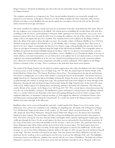Mogao Grottoes is absolutely breathtaking, but what makes the site particularly unique? What lies beyond the beauty of the Mogao Grottoes?

The sculptures and murals are an impressive site. Their external qualities themselves are memorable enough to be ingrained in your memory at first glance. However, it is their ability to display the artists' dedication; reflect ancient lifestyles and values; convey Buddhist tales and morals; signify the convergence between the East and the West that makes it transcend across ages and nations.

The hand-moulded clay sculptures of gods and saints are an attestation of decades-long dedication from artists. Most of the clay sculptures were constructed on the hillside. The tedious process of paddling the wooden frame with reed, then modelling it with clay stucco, and beautifying it with paint whilst capturing every facial expression, every crease, every geometric pattern shows how devoted the artists were in creating the sculptures. On top of that, artisans were able to add unique values to the figures that they have moulded. The variations between the sculptures in the Mogao Grottoes allows the efforts of the artists to shine through even more. For example, a figure of Maitreya Buddha in Cave 275 from Northern Liang shows influence from Kushan art. [\[1\]](https://en.wikipedia.org/wiki/Mogao_Caves) The Buddha, who is wearing a turquoise three-disk crown, is shown to be cross-legged. Contrastingly, the Nirvana Cave features a large reclining Buddha that spans the entire hall. There are also figures of mourners depicted along the length of the hall behind the Buddha. The iconographic theme in Buddhist art represents the historical Buddha during his last illness, when he was about to enter parinirvana, a nirvanaafter-death. This sculpture exhibits properties of Gandhara, a Greco-Buddhist art. [\[4\]](https://en.wikipedia.org/wiki/Parinirvana) Through the display of an array of artistic influence and visual characteristics, we can witness how each sculpture has its own distinctiveness, as if each of the sculpturers was interpreting Buddhist art in his own way. Instead of mimicking previous artwork, numerous sculptors have collectively exercised their creative imagination and artful execution, making the 2400 sculptures in the Mogao Grottoes as dynamic as they are today. This is a testament to the dedication from artists across dynasties.

The murals of the Mogao Grottoes are not solely for aesthetic appreciation, they reflect the lifestyles and values of people in ancient society as well. In Mogao Cave 23 (High Tang, 705-791 AD), the murals depict the famous Parable of the Herbal Medicine Chapter from 'The Farmers Working in Heavy Rain'. The painting shows the dim sky and hard rain. One farmer is whipping the cow to plow while another is carrying the harvest on his shoulders. The farmers' backs are slightly hunched over, depicting the physical hardships of farmwork. Despite the tricky weather, the farmers are still able to grind through and continue to manage their crops. The persistent hard work of the villagers are shone through in this illustration, showing the hard and honest living of rural people during the High Tang Dynasty. At the lower left corner of the mural, children appear to be playing music and dancing, indicative of joviality and celebration. This reflects the carefree lifestyle of the country. [\[5\]](http://public.dha.ac.cn/content.aspx?id=810316904227) In Mogao Cave 148 (Tang, A.D. 705-781), a mural depicts a funeral procession that is on the way to the Buddha's cremation. The Bodhisattvas, priests and kings are carrying banners and offerings solemnly. There is a corridor which has the illustration of the Sutra of Requiting Blessing Received in Chinese writing, which emphasizes filial piety, an important Confucian teaching. [\[2\]](https://factsanddetails.com/china/cat15/sub103/entry-6521.html#chapter-3) This suggests the adherence of traditional Chinese values and filial practices among people during the Tang Dynasty. As a result, the murals of the Mogao Grottoes reveal the lifestyles and values of people in the olden days.

Buddhism values can be conveyed through the intricately-crafted murals of the Mogao Caves. Every stroke, every delineation, every colour tone contributes to the unfolding of compelling tales. The Jataka Tale of King Sivi in Mogao Cave 428 flawlessly brings out the theme of self-sacrifice.  $[2]$  The mural, which was painted between 557 - 581 C.E, tells a Jataka tale about Prince Mahasattva. Along the Eastern Wall of the Mogao Cave, the famous tale is beautifully displayed in three registers. The mural begins with three young men bidding their parents farewell as they prepare to hunt. The horses carrying the men have muscular bodies and lengthy strides, superbly capturing their elegant gait as they swiftly pass through the forest. On the second register, the three men are surrounded by the polychrome mountains. At the centre of the mural, seven baby cubs fearfully await the devourer – their own mother. The mural then shows how Prince Mahasattva strips off his clothes and lies down in front of the ravenous tigress. The third register shows how Mahasattva's attempt of self-sacrifice was futile, for the tigress still appears to stand by him indifferently. As the mural develops, we can see how Prince Mahasattva fearlessly climbs to the edge of a cliff, cuts open his neck and throws himself on the ledge. This time, his body is devoured by the tigers. This story portrays how Prince Mahasattva not only has a kind heart, but he would go as far as sacrificing his own life twice to prevent the sufferings of the cubs. This highlights his immense bravery and selflessness, attributes that coincide with the core values of Buddhism. The Jataka tale of Prince Mahasattva's experience is only one of the many stories that our forefathers intended to tell us. Along the walls of the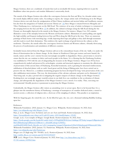Mogao Grottoes, there are a multitude of murals that teach us invaluable life lessons, inspiring believers to put the Buddhism values into practice and emulate Mahasattva's noteworthy deeds.

The murals of the Mogao Grottoes also reflect the convergence between the East and West. In a broader artistic sense, the murals display different artistic styles. According to experts, the 'unique artistic style of Dunhuang art in the Mogao Grottoes derives not only from the amalgamation of Han Chinese traditions and ancient Indian and Gandharan customs, but also from the integration of Turkish and ancient Tibetan art'. [\[6\]](http://en.chinaculture.org/2017-07/18/content_1039563.htm) Since Mogao is situated between Mongolia and Tibet, Dunhuang was a vital juncture on the Silk Road. The existence of an array of artistic techniques is a testament of the merging between the East and West. [\[7\]](https://www.nytimes.com/slideshow/2008/07/06/arts/0706-COTT_index/s/0706-COTT_slide3.html) In addition, the cultural exchanges along the Silk Road during the Sui Dynasty are thoroughly depicted in the murals in the Mogao Grottoes. For instance, Mogao Cave 302 contains illustrative scenes of the interplay between the Western and Eastern cultures. Illustrations of camels pulling carts signify the high mobility and frequent trading between East and West along the Silk Road at the time. There are numerous paintings of black horses with stretching legs, vividly depicting their leaps and gallops as they dash through mountains and dirt roads to reach their destination. This reinforces the rapid exchange of goods between the cultures as they modernise. Therefore, the murals reflect the convergence between Eastern and Western cultures, vibrantly showcasing the process of modernisation and assimilation of different countries.

Invaluable lessons derived from the Mogao Grottoes add on to the extraordinary beauty of the site. Sadly, it is under the threat of deterioration due to climate change. As the climate in Northwest China gets warmer and more humid, the murals, statues and the caves' exterior become increasingly susceptible to degradation. Hence, preservation is crucial to ensure that the site can continue to thrive and touch people in the future. It is a blessing that the Dunhuang Academy was established in 1944 with the aim of safeguarding the treasures in the Mogao Grottoes. Mogao Cave 85 has been comprehensively studied and preserved by archeologists, scientists and structural engineers to maximise the effectiveness of preservation of this ancient diary of Dunhaung. Remedial treatments, such as grouting for structural reinforcement, stabilisation of detached plaster with an earth-based grout and the fixing of flaking paint, have been carried out to preserve the site. Moreover, a condition monitoring program has been developed for long-term preservation of the cave after stabilization interventions. This way, the deterioration of the calcium carbonate and paint can be eliminated. [\[8\]](https://books.google.com.hk/books?id=zHnEDwAAQBAJ&printsec=frontcover&redir_esc=y#v=onepage&q&f=false) That being said, we play a pivotal role in mitigating the negative impacts of climate change on the Mogao Grottoes. Realising how our seemingly meagre wasteful actions in our daily lives can contribute to the acceleration of climate change, and subsequently the degradation of the Mogao Grottoes is not a stretch. It is reality. Thus, exercising our environmental-friendly practices is paramount to protecting the Mogao Grottoes.

Undoubtedly, the Mogao Grottoes offer visitors an astonishing view to savour upon. But it is far beyond that. It is a glimpse into the tumultuous history of Dunhuang; a montage of masterpieces of countless dedicated artists; a tunnel to ancient society; a collection of religious tales; a showcase of the mingling of cultures. This paradise is an inspiration.

With her lingering gait, she exited the cave. As she lifted her gaze, she, too, saw a thousand radiating Buddhas looking upon her.

## References:

Wikimedia Foundation. (2022, January 11). Mogao Caves. Wikipedia. Retrieved January 18, 2022, from [https://en.wikipedia.org/wiki/Mogao\\_Caves](https://en.wikipedia.org/wiki/Mogao_Caves) 

Hays, J. (n.d.). Mogao Caves: Its history and cave art. Facts and Details. Retrieved January 18, 2022, from <https://factsanddetails.com/china/cat15/sub103/entry-6521.html#chapter-15%5C>

Google. (n.d.). Cave temples of Mogao. Google Books. Retrieved January 18, 2022, from [https://books.google.com.hk/books?hl=en&lr=&id=vYPNqlAMZWAC&oi=fnd&pg=PP7&dq=mogao%2Bgrottoes%2](https://books.google.com.hk/books?hl=en&lr=&id=vYPNqlAMZWAC&oi=fnd&pg=PP7&dq=mogao%2Bgrottoes%2Bin%2Bdunhuang%2Bhistory%2B&ots=s-yRnluBCn&sig=UNHVj-zmrDfiniiH01tRRTjmA_0&redir_esc=y#v=onepage&q=mogao%20grottoes%20in%20dunhuang%20history&f=false) [Bin%2Bdunhuang%2Bhistory%2B&ots=s-yRnluBCn&sig=UNHVj-](https://books.google.com.hk/books?hl=en&lr=&id=vYPNqlAMZWAC&oi=fnd&pg=PP7&dq=mogao%2Bgrottoes%2Bin%2Bdunhuang%2Bhistory%2B&ots=s-yRnluBCn&sig=UNHVj-zmrDfiniiH01tRRTjmA_0&redir_esc=y#v=onepage&q=mogao%20grottoes%20in%20dunhuang%20history&f=false)

```
zmrDfiniiH01tRRTjmA_0&redir_esc=y#v=onepage&q=mogao%20grottoes%20in%20dunhuang%20history&f=false
```
Wikimedia Foundation. (2022, January 13). Parinirvana. Wikipedia. Retrieved January 18, 2022, from <https://en.wikipedia.org/wiki/Parinirvana>

Mogao cave 23 (high tang 705-781AD). (n.d.). Retrieved January 18, 2022, from <http://public.dha.ac.cn/content.aspx?id=810316904227>

刘芳. (n.d.). Mogao Caves. Retrieved January 18, 2022, from [http://en.chinaculture.org/2017-](http://en.chinaculture.org/2017-07/18/content_1039563.htm) [07/18/content\\_1039563.htm](http://en.chinaculture.org/2017-07/18/content_1039563.htm)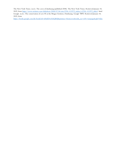The New York Times. (n.d.). The caves of dunhuang (published 2008). The New York Times. Retrieved January 18, 2022, from [https://www.nytimes.com/slideshow/2008/07/06/arts/0706-COTT\\_index/s/0706-COTT\\_slide3.](https://www.nytimes.com/slideshow/2008/07/06/arts/0706-COTT_index/s/0706-COTT_slide3) html Google. (n.d.). The conservation of cave 85 at the Mogao Grottoes, Dunhuang. Google <sup>1</sup>쨄. Retrieved January 18, 2022, from

[https://books.google.com.hk/books?id=zHnEDwAAQBAJ&printsec=frontcover&redir\\_esc=y#v=onepage&q&f=false](https://books.google.com.hk/books?id=zHnEDwAAQBAJ&printsec=frontcover&redir_esc=y#v=onepage&q&f=false)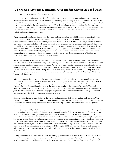## The Mogao Grottoes: A Historical Gem Hidden Among the Sand Dunes

## ESF King George V School, Chiou, Christine – 14

Chiseled in the rocky cliff faces at the edge of the Gobi desert, lies a treasure trove of Buddhist art pieces. Situated at a crossroads of the ancient silk road, 25 km southeast of Dunhuang  $-$  an oasis city in the Gansu Province of China  $-$  the Mogao Grottoes are a series of grottoes best known for their murals, sculptures, and artifacts. The name 'Mogao' refers to the administrative district the caves were in during the Tang dynasty, but translates to 'peerless'. Peerless, meaning 'matchless or incomparable', is a perfect descriptor of the grottoes, in regards to their beauty and history. Not only is the site a wonder to behold, but it also provides a window back into the ancient Chinese civilization, by showing an evolution of ancient Buddhist art pieces.

Though surrounded by barren desert slopes, the beauty and splendor of the caves hidden inside is exceptional. In the grottoes lie about  $45,000$  square meters of murals  $-$  about  $40$  times the size of the Sistine Chapel  $-$  and over 2,000 painted structures. Painted first as line drawings with bold blacks and reds, then filled in with bright mineral pigments and organic colorants, the brilliant colors and fine details of the murals record the customs, traditions, and beliefs of the old world. Though worn by the wear of time, they continue to dazzle visitors today. The statues, showcasing elegant Buddhist styles and sculptural skills display a variety of important figures: Buddha and his students, Bodhisattva, monks, the God of heaven, the God of Earth, and guardians of the ancient world. Combined, these art pieces paint a vivid picture of the arts, economics, politics, and culture of ancient society, and display the evolution of Buddhist art throughout a millennium (from the 4th to the 14th century).

But while the beauty of the caves is extraordinary, it is the long and fascinating history that really makes this site stand out. The caves were first constructed nearly 17 centuries ago, in 366 AD, on the desert crossroads of the famed silk road. Legend states, a wandering Buddhist monk named Yuezun (or Le Zun) imagined a thousand radiant Buddhas on the sandstone cliff face. The monk was inspired to begin painstakingly hand carving the caves, the first being no bigger than a coffin. Others followed and began carving their own caverns. Being situated at the crossroads of a busy trade hub allowed travelers to stop by and carve their own stories, and prayers for a safe journey ahead. The Mogao Grottoes soon became a pilgrimage site.

After a millennium, the monk's vision became a reality. Funded by affluent traders and important officials, the caves soon grew to a system of hundreds of temples and caves, flourishing in the Sui, Tang, and Song dynasty. In its peak in the Tang dynasty  $-$  often referred to as the golden age of Chinese culture and arts  $-$  more than a thousand caves existed. Far more than one thousand Buddhas reside in the caves today, earning it the nickname "Caves of a Thousand Buddhas." Inside, it is a wonder to behold, with exquisite Buddhist sculptures and paintings featured in every cave. As journalist Brook Larmer of the National Geographic magazine wrote, "Thousands of Buddhas in every hue radiated across the grotto walls, their robes glinting with imported gold."

However, following the gradual decline in the use of the silk road in the 11th century and the collapse of the Yuan dynasty, the caves fell into disuse. Despite the long history and hard work, the caves lay forgotten for many years. Facing both nature and neglect, many caves have been lost since the Tang Dynasty. Only half survive, with 492 grottoes remaining preserved today.

Only on June 25th, 1900, did a Taoist monk named Wang Yuanlu rediscover the caves. He named himself the guardian of the abandoned grottoes, and notified Qing government officials of his find, but got no reply. No further action was taken until European archeologist and explorer Marc Aurel Stein heard rumors of the caves. He visited in 1907, and bribed the Taoist caretaker in order to remove countless scrolls and artifacts. Inspired by Stein, other explorers, treasure hunters and scholars flocked over. Several expeditions took place over the course of many years, going largely unnoticed by the government. Sadly, it was common for explorers to take valuable artifacts, with whole chunks of the wall being taken away from the original site. Textual and artistic material from Dunhuang can now be found scattered all over the globe, far away from the original site. Interestingly, in 1921, roughly 500 Bolsheviks were detained for 5 months and jailed by the Chinese government in the caves. The marks from the smoke of their fires and graffiti can still be found on the walls today.

Luckily, before further damage could be done, the rising popularity of the caves led it to be noticed around the world and further investigation was undertaken. One of the most notable finds was Cave 17, also known as the Library Cave, which contained an estimated number of forty thousand manuscripts, scrolls, booklets, and paintings. Consisting of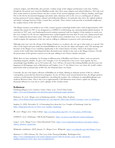contracts, ledgers, and official files, they provide a realistic image of the religion and literature at the time. Further, though the documents were stored by Buddhist monks, they show many religious and cultural influences. Not only were these works written in ancient Chinese, but also a variety of rare ancient languages such as Tibetan, Sanskrit, and Uygur. Due to the diverse documented languages and artistic styles, historians refer to the caves as a melting pot of cultures, having experienced various religious, cultural, and intellectual influences. In particular, they show the cultural, political, and artistic exchanges between China, Central Asia, and India. These written works provide an invaluable insight into the complex history of the old world.

The Mogao Grottoes were hailed as one of the century's greatest archeological finds with a total of approximately 4,500 cultural relics found. In 1987, it was designated as a UNESCO world heritage site, attracting further global attention. 10 years later in 1997, state-run Dunhuang Research academy partnered with Los Angeles's Getty institute to watch over the caves. Using Cave 85, the two organizations have worked together for more than 20 years now, doing research into how to implement preservation action. This type of unified action symbolizes how even countries halfway across the world recognize the importance of the site, and are willing to collaborate to preserve such a precious gem.

Although some may view the old age of the Mogao Grottoes as a weakness, the very age is what makes it so special. Not only is it the largest and most richly decorated Buddhist art site, but also the oldest and longest-used. The drawings and literature in the Mogao Caves contribute significantly to the written history of China, which is the longest of any country in the world today (stretching back three thousand years), thanks to sites such as the Mogao Grottoes. Overall, the preservation of the grottoes connects us to the past, adding to our Chinese identity and pride.

While there are basic similarities, by focusing on different parts of Buddhist and Chinese culture, each cave presents something uniquely valuable. To give a few examples, Cave 96, behind the iconic seven-story pagoda, has two astonishingly large Buddhas, one at 35.5 meters tall. Cave 148 has a 26 meters tall reclining Buddha and showcases rare fragments of old languages such as Manichaean and Uyghur. Cave 17, the Library Cave, was where the world's earliest dated book (with an attested date of 868 CE), the Diamond Sutra, was found.

Currently, the site is the largest collection of Buddhist art on Earth, offering an authentic picture of life in a vibrant, cosmopolitan society that has almost been forgotten. As one of China's most ancient historical sites, the Mogao grottoes continue to hold immense historical significance, providing the modern-day civilization an unparalleled glimpse into medieval Western China. This is why even at approximately 2,300 kilometers from China's capital city, Beijing, thousands still pour in every day to catch a glimpse of the wonders inside.

## References

Dunhuang Mogao Caves, Grottoes, Gansu, China. (n.d.). Travel China Guide. [https://www.travelchinaguide.com/attraction/gansu/dunhuang/mogao\\_grottoes/](https://www.travelchinaguide.com/attraction/gansu/dunhuang/mogao_grottoes/)

Hohensee, N. (n.d.). Mogao caves at Dunhuang (article) | China. Khan Academy. <https://www.khanacademy.org/humanities/art-asia/imperial-china/tang-dynasty/a/mogao-caves-at-dunhuang>

Stephan, A. (2020, November 2). 14 Fascinating Facts about the Cave Temples of Dunhuang. Getty Iris. <https://blogs.getty.edu/iris/14-facts-cave-temples-dunhuang/>

刘. (n.d.). Mogao caves. China Culture. [http://en.chinaculture.org/2017-07/18/content\\_1039563.htm](http://en.chinaculture.org/2017-07/18/content_1039563.htm)

UNESCO. (n.d.). Dunhuang | Silk Roads Programme.<https://en.unesco.org/silkroad/content/dunhuang>

Long, L. (n.d.). Mogao Caves. China Educational Tours. [https://www.chinaeducationaltours.com/guide/culture](https://www.chinaeducationaltours.com/guide/culture-chinese-grottoes-mogao.htm)[chinese-grottoes-mogao.htm](https://www.chinaeducationaltours.com/guide/culture-chinese-grottoes-mogao.htm)

Wikipedia contributors. (2022, January 11). Mogao Caves. Wikipedia. [https://en.wikipedia.org/wiki/Mogao\\_Caves](https://en.wikipedia.org/wiki/Mogao_Caves)

Matteson, S. (1985, February 24). The Caves of the Thousand Buddhas. Washington Post. [https://www.washingtonpost.com/archive/lifestyle/travel/1985/02/24/the-caves-of-the-thousand](https://www.washingtonpost.com/archive/lifestyle/travel/1985/02/24/the-caves-of-the-thousand-buddhas/4b1b51ef-b130-4bec-becf-bc7dd6836e25/)[buddhas/4b1b51ef-b130-4bec-becf-bc7dd6836e25/](https://www.washingtonpost.com/archive/lifestyle/travel/1985/02/24/the-caves-of-the-thousand-buddhas/4b1b51ef-b130-4bec-becf-bc7dd6836e25/)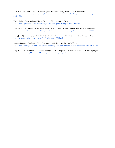Shen Yun Editor. (2019, May 23). The Mogao Caves of Dunhuang. Shen Yun Performing Arts. [https://www.shenyunperformingarts.org/explore/view/article/e/zkEPlF7CSao/mogao-caves-dunhuang-chinese](https://www.shenyunperformingarts.org/explore/view/article/e/zkEPlF7CSao/mogao-caves-dunhuang-chinese-stories-history)[stories-history](https://www.shenyunperformingarts.org/explore/view/article/e/zkEPlF7CSao/mogao-caves-dunhuang-chinese-stories-history)

Wall Paintings Conservation at Mogao Grottoes. (2019, August 1). Getty. [https://www.getty.edu/conservation/our\\_projects/field\\_projects/mogao/overview.html](https://www.getty.edu/conservation/our_projects/field_projects/mogao/overview.html)

Cascone, S. (2014, September 30). The Getty Helps Save China's Mogao Grottoes from Tourists. Artnet News. <https://news.artnet.com/art-world/the-getty-helps-save-chinas-mogao-grottoes-from-tourists-118469>

Hays, J. (n.d.). MOGAO CAVES: ITS HISTORY AND CAVE ART | Facts and Details. Facts and Details. <https://factsanddetails.com/china/cat15/sub103/entry-6521.html>

Mogao Grottoes | Dunhuang, China Attractions. (2020, February 12). Lonely Planet. <https://www.lonelyplanet.com/china/gansu/dunhuang/attractions/mogao-grottoes/a/poi-sig/1496278/355964>

Song, C. (2021, December 27). Dunhuang Mogao Caves — Explore "Art Museum of the East. China Highlights. <https://www.chinahighlights.com/dunhuang/attraction/mogao-grottoes.htm>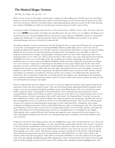## The Mystical Mogao Grottoes

## ESF Sha Tin College, Yue, Jia Yun  $-14$

With a system of close to 500 temples, and decorative ceilings and walls totalling up to 500,000 square feet, the Mogao Grottoes is known for bearing fundamental evidence toward showing the extensive history that has spanned more than 1000 years. Its diverse collection of materials makes it captivating among the numerous wonders of the world, showing the evolution of Buddhist art, while also introducing the numerous aspects of north-western China.

Located just outside of Dunhuang, Gansu province, it was excavated into a cliff face of over a mile. The native name for the caverns 莫高窟 means peerless and implies the unrivalled nature and scale of the caves. In addition, the Mogao Caves are also known as the Thousand Buddha Grottoes and store the vastest collection of Buddhist art known to humankind ranging from Architecture to Textiles and presents stories of the Buddha, Buddhist sutras, portraits of cave donors, ornamental designs, and scenes of social and commercial life.

According to legend, it was first constructed in 366 AD through the idea of a monk named Yuezuen. He was inspired to excavate the caves through his vision of a thousand Buddhas bathed in golden light at the site. Over time, the site gradually developed and expanded, as by 400 AD a monastic community had united there, creating a monument of faith. Initially, the site served as a location for meditation, but despite that, it developed to serve the public as a place of meditation and devoted to worship. Consequentially, it flourished and by the dawn of the Tang dynasty, there were a shocking number of over 1,000 caves. Then on from the 4th to 14th Century, came some of the greatest representations of Buddhist art to have ever seen the light of day, these included new creations of paintings and architecture to aid meditation and act as tools to educate and illiterate Buddhist's beliefs and stories. During the Tang dynasty, the Mogao Cave rose to become a major pivot of interchange for the Silk Road and a major religious appeal as the artists of the generation rose above and beyond creating finely detailed Buddhist narratives that used textures, colour, and realism to bring alive the visionary scenery, while at the same time, fully captivating the Chinese style with displays covering mass numbers of walls. However, after the Tang dynasty, the Silk Road fell into disuse, and by the 1400s, (and for centuries later) Mogao was forgotten as it declined in relevancy and the caves' entrances were suffocated by the sand from the Gobi Desert, then on entombed. Despite the caves being deserted, the sculptures and wall paintings in the Dunhuang caves remained remarkably well preserved, thanks in part to the desert climate and its remote location surviving not only war and despoils but also nature and neglect.

However, little did they know the Mogao Caves were to reach new heights that had been unprecedented until the late nineteenth century and early twentieth century. This came with Wang Yuanlu appointing himself the guardian of the temples, as he saw the potential and limitless possibilities in the indescribable beauty of the caves and therefore raised funds to repair the statues. Unexpectedly, he found himself face to face with thousands upon thousands of scrolls crammed behind a hidden door leading to a small cave (later known as the Library cave), inside housing a trove of over 50,000 documents, of which compromised of the world's oldest book- the Diamond Sutra. Years later, he spent his time exhibiting the contents of the scrolls to officials who expressed interest in the manuscripts, regardless, fate only led him to disappointment as he was ordered to seal the sea of scrolls behind closed doors. This was due to officials raising concerns over expenses for transporting these manuscripts. It wasn't until Aurel Stein, a Hungarian-born scholar working for the British government in India and the British Museum, made it to Dunhuang in early 1907. After being given permission, Stein was able to remove 24 cases of manuscripts and five cases of artworks and relics. This made one of the richest hauls in all of archaeological history and for his accomplishments, he was knighted by the English. Following this, other countries followed in his footsteps and sought the many treasures that Stein had acquired. As a total, archaeologists unearthed more than 243 caves including living quarters, meditation cells, burial chambers, silver coins, and more.

Despite the rich history of the Mogao grottoes, the true spotlight shines upon what is housed inside the caves. Some that have had the pleasure of visiting the Mogao caves have described the murals within with the word "surreal". Compared to the monochrome and lifelessness of the desert the murals are exuberant of colour and movement, each one distinct as they reveal their story, page by page scenery unfolds before the observer's eyes. Some may even go as far as to say that these paintings come across as three-dimensional, creating a sensation of satisfaction as the observer walks through the wall, entering the magical stories that have been kept from the world within these cave walls. Some will hear the melodic sound of the pipa being played, while others see thousands of Buddhas in every hue radiated across the grotto walls, their robes glinting with glittering gold, fully capturing the colour-saturated details of the murals. And as the light bounces off the paintings it portrayed each scenario of the painting with compelling animation highlighting the vivid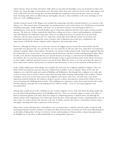colour schemes. Some are sharp and intense while others are peaceful and dreamlike, every one prominent in their own unique way. From all angles a mesmerizing view. No matter where they turn, what faces them is only captivating as each scene is full of life and soul carrying their emotions through their experiences of the past decades. Some are sad and heart-breaking while others are filled with joy and laughter, but alas is what contributes to the story and shapes it to be what it is: a rich a fulfilling narrative.

Another mystical treasure of the Mogao caves includes the manuscripts and other materials found in a cave known as the Library cave. This treasure trove of manuscripts was mentioned above and is said to house over 50,000 pieces of materials including manuscripts, scrolls, booklets, and more. To say that these treasures were fascinating would be an understatement. Some specific materials decipher aspects of previous unknowns that have been topics of many scientists' interests. The discovery of these materials has aided those seeking out to have a clearer understanding by unveiling the clues left behind by the intellectual Tang artists. Then on revealing more pieces of a puzzle that were previously unknown. Like the many murals on the cave walls, these manuscripts and scrolls also include sacred stories and knowledge that has forever changed the course of history with evolutionary pieces that have contributed to the improvement of fields like history, religious studies, linguistics, and manuscript studies.

However, although the Library cave reveals some answers, the biggest mystery remains the reason behind why the manuscripts were placed in the cave and why the cave was sealed off. To this day many have made their own hypothesis making it a popular subject of speculation. Among the vast amount of talk and guesswork, Aural Stein suggested that that the manuscripts were "sacred waste", an explanation that found favour with later scholars including Fujieda Akira. More recently, it has also been theorized that the cave had the function of serving as a storeroom for the Buddhist library. Nevertheless, the cave may have been sealed in the first place to have it protected from armies at the advent of invasion, or more simply could have just been because it ran out of room. What the answer is we may never have the chance to know unless more evidence and resources are found to assist the journey to uncover the mysteries of this peculiar cave.

Lastly, another hidden gem of the Mogao caves includes the numerous clay sculptures exhibited at Mogao. There are about 24,000 surviving clay structures that have withstood the countless events of calamity. Many of the early clay sculptures were relatively simple and mainly of Buddhas and Bodhisattvas. But though these sculptures were only early versions of many more to come, it doesn't stop it from showing off the amazing craftsmanship of the sculptors. Various techniques can be seen to have been used on the sculptures and it shows with every curl of the hair, every facial expression perfectly produced, and without a doubt is concrete evidence showing how advanced the Chinese were in terms of creating and solidifying their art styles. Their willingness to experiment, makes them stand out from the crowd, therefore playing a principal role in developing art to be what it is today- a way of conveying imaginative and conceptual ideas.

Among other notable pieces in the exhibition are the wooden sculptures of two of the four Heavenly Kings (deities that are each tasked with guarding quarters of the Buddhist universe). These two structures appear to mirror each other as both are stationed opposite each other, their feet resting on a frightening demon or hideous beast, and although the vibrant colours of the original piece have faded and erased, the poise of their physique remains, maintaining their sense of duty as they are ready to protect the universe at all costs. As divine warriors, they possess a tremendous amount of grace and agility, matching their status as protectors of the universe.

Many stories can be told about these extraordinary caves, in ancient times a cultural crossroads, today a small city with looming potential for touristic expansion. Its impact has allowed for the place to remain one of the most influential places on the planet, helping those who go to visit have a better understanding on Chinese culture and growing appreciation for Buddhist art. A visit there would undoubtedly be an unforgettable experience.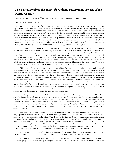# The Takeaways from the Successful Cultural Preservation Projects of the Mogao Grottoes

Hong Kong Baptist University Affiliated School Wong Kam Fai Secondary and Primary School,

Cheung, Kwan Chiu Alfred  $-16$ 

Situated in the important outpost of Dunhuang on the silk road, the Mogao Grottoes have existed and continuously expanded for more than a millennium. However, as sea routes connecting the east and west started to prop up, the silk road was considered inferior, and thus fewer travelers and traders used it. As a result, the Mogao Grottoes' became less visited and abandoned. By the time of the Yuan Dynasty, the site was essentially forgotten and fell into disrepair. Luckily, centuries later in the late Qing dynasty, Wang Yuanlu, a Chinese Taoist monk, rediscovered the caves. Today, the Mogao Grottoes are known to contain some of the most culturally important pieces of art, literature and murals that resembled the era when it once prosperous. The nearly abandoned cave system was transformed into a unique attraction and its legacy lives in the hearts of the many that visited it. What could we learn from the process and impacts of the cultural preservation that happened at the Mogao Grottoes? Furthermore, how can we apply these to similar projects?

The conservation measures taken by government to restore the Mogao Grottoes to its former glory brings us valuable knowledge in the methods of maintaining monuments. Ever since its rediscovery in the early 20<sup>th</sup> century, the Mogao Grottoes have undergone a series of measures that aimed to bring its cultural treasures to the public. At the start, these efforts were not more that taking the paintings and manuscript inside the caves into the outer world to be exhibited in different museums. Later on, throughout the  $mid-20<sup>th</sup>$  century, the central government of China introduced different schemes to repair the dilapidated caves. Laws and constitutions were set up to protect the site. In 1987, the site became a UNESCO world heritage site, furthering cementing its historical prominence. Throughout the events of the  $20<sup>th</sup>$  century, active measures taken by the government to protect heritage sites is pivotal in preserving them.

Without significant government intervention, the efforts that went into protecting the caves only involved removing the relics inside them to be shown to the public in other venues, an ex-situ approach. While this approach is more cost-effective and faster in execution, it is not a universal solution to all monuments. An in-situ approach, renovating and preserving the site as a whole instead of just the few valuable artworks and books inside it is much more preferable in protecting the Mogao Grottoes. This is because the Mogao Grottoes, aside from being renowned for the vast amount of artwork and literary pieces that it contains, is also famous for its architecture and wall murals, and there is no better way than renovating the original site to preserve architecture. However, in-situ operations usually involve large scale construction work. This means that only the government can carry out such projects. In essence, without government actions, the incredible architecture of the Mogao Grottoes could never be preserved, decreasing its cultural and historical value. Hence, governments all around the world have the responsibility to carry out in-situ operations to conserve monuments such that citizens are able to visit most if not all historic sites.

The Mogao Grottoes are the perfect example to show that laws can effectively prevent ancient buildings from sustaining further damage. Before relevant laws were set up, the Mogao Grottoes were vandalized by soldiers and explorers that went into them. However, after laws were passed to protect the caves in the 1960s, not only did the public awareness Mogao Grottoes rise, but the historical value of the monument was also protected by law. As a result, the Mogao Grottoes was spared from the widespread destruction of religious locations during the Cultural Revolution in mainland China. Hence, it can be seen that regulations surrounding historical sites is an effective way to prevent them from being damaged in unwanted ways.

Unfortunately, the journey in preserving Mogao Grottoes was not all sunshine and rainbow, particularly in the early days of its rediscovery due to a lack of attention by the government. The Mogao Caves were rediscovered in 1900. However, due to the political instability of the Qing dynasty at the time, the Qing government showed little interest in preserving the site. Without adequate laws and active restoration effort, the fate of the site was left in the hands of the civilians. In order to gain funds for restoring the caves, Wang Yuanlu let western explorers bring home many important artworks and manuscripts. It is estimated that around 13000 pieces of cultural relics are exhibited in the British Museum. Quite an unreasonable place for Chinese relics to be displayed at. Hence, governments must actively monitor monuments so as to prevent outsiders from harming the site by different means such as taking away important relics.

Renovating cultural relics will definitely benefit citizen's livelihoods, but in what ways does it exactly do so? Turns out, renovating historical monuments can benefit citizen's economic and cultural quality of life.

Restoring ancient sites into tourist attractions can bring massive economic growth by promoting cultural tourism. Nowadays, people look for more than pure enjoyment and fun when they go abroad. Tourists also want to learn more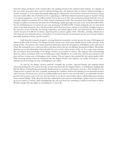about the culture and history of the countries they visit, sparking a boom in the cultural tourism industry. To capitalize on this new mode of tourism, there must be sufficient heritage sites and museums that can present cultural knowledge to tourists. Certainly, it can be argued that plainly displaying the cultural relics retrieved from a historical monument in large museums would suffice, but would that ever be as appealing as a full blown historical monument open to tourists? Owing to its cultural importance, over 2.2 million tourists went to the cave in 2019. Art and literature found inside the caves are currently exhibited in museums all over China and the international world. The restoration of the Mogao Grottoes have brought in millions of tourist into the small city of Dunhuang, rapidly growing its tourism sector. In the first half of 2021, the city of Dunhuang saw its tourism revenue soar, generating 9.25 billion USD. Tourists visiting the city not only spend money at the large attractions, they will also purchase goods from local stores, and stay at local hotels, bringing income to the respective sectors. Evidently, the heritage importance and cultural appeal of the city's historical sites have pulled in massive amounts of wealth for its citizens, improving their economic quality of life. Therefore, restoring cultural sites is more than just renovating old and run-down places, it can also be treated as an investment into the area's tourism industry, potentially sparking economic growth around it.

Aside from the economic prospects, restoring historical monuments can also increase the sense of belonging and cultural quality of life of citizens. The Mogao Grottoes contain some of the most valuable literary works, artworks, made during its time. The grottoes also contain important information about the development of Buddhism in the early days of China. By restoring the caves, citizens are able to visit them and see the site at its full glory during their holidays. Meanwhile, historians can use the information retrieved inside the caves to have clearer picture of the era. As a result, more resources that can enhance their knowledge of the Mogao Grottoes are provided to citizens. This improves their understanding about the culture and history of the city of Dunhuang as well as Buddhism. As a result, they will feel more attached to the place and have a better sense of belonging to their country. This can improve their spiritual life and cultural quality of life. Thus, restoring valuable historical monuments like the Mogao Grottoes also improves our quality of living in a nonmaterial way by increasing our sense of belonging to our culture.

To sum up, the Mogao Grottoes perfectly exemplify the necessity, expected benefits and methods behind conserving heritage sites. No matter for huge ancient monuments like the Mogao Grottoes or small historic buildings like Mei Ho House in Hong Kong, governments should actively try to protect and conserve such sites. They should do so by setting up laws to protect the sites, constantly monitoring the condition of them and initiating crucial restoration projects when necessary. If such measures can be successfully implemented, then it is not out of the blue to see substantial economic growth in the tourism sector in the area. On top of that, it can also be expected that citizens will find themselves having a clearer cultural identity. If the takeaways from the cultural preservation process of the Mogao Grottoes had to be summed up in one sentence, it will go a little something like this: put your heart into something, it will live in the hearts of others. Weirdly enough, that also applies to everything else we do in life.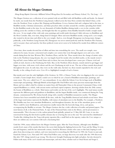## All About the Mogao Grottoes

## Hong Kong Baptist University Affiliated School Wong Kam Fai Secondary and Primary School, Yu, Tin Long - 15

The Mogao Grottoes are a collection of caves painted with art and filled with old Buddhist scrolls and books. As claimed by myth, one monk from the Northern Laing dynasty walked across the busy Hexi corridor that linked China, at the time the Northern Yuan, to places like Xinjiang and Kazakhstan. It was a business hub and a religious hub at the time, as Buddhist monks, Christian missionaries, and Islam preachers often circulate around the corridor, spreading their belief. So this Buddhist monk at the time, he saw thousands of Golden Buddhas shining inside a cave in the corridor while walking across the corridor to China, and thought that this was guidance from Buddha himself to build a temple inside the caves. It was rough at first, with only some paintings and scrolls inside showing it's little relevance to Buddhists and the Hexi Corridor. But, over time, things kind of changed. More and more Buddhist monks, seeing such a cave temple, also wanted to devote time and effort to the cave temple. And so, even though Zhongyuan was facing many changes politically, as the Northern Liang Dynasty fell, Zhongyuan was never united perfectly until the Northern Wei Dynasty, and it was pure chaos and anarchy, but these political events never seem to be bothered by monks from different corners of China.

Over time, these monks devoted lots of effort and time into remodeling the caves. The small cave temple, once unknown by many, became a structured and complex cave system that went through dugout caves and caves, with murals dating from the later Western Wei, Northern Zhou, and the Sui. These murals show the change of artistic styles. Like in the Northern Liang dynasty, the cave was largely based for monks who travelled nearby, so the murals weren't big and had a more Indian and Central Asian style in them, but soon developed into a more pro-Chinese vivid and stylish art style, known as the Dunhuang Art Style. But, in the Northern Zhou dynasty, murals started to get bigger and bigger over time, with more vivid colours and the new Dunhuang art style in use. The size of these murals skyrocketed throughout the years. In early days, they were on the walls only, but later on, those murals expanded to the roof, and literally, to the ceiling of such caves. Cave 45 is a highlighted example of such a feature.

But murals aren't just the only highlights of the Grottoes. In 1900, a Chinese Taoist, who was digging in the cave system to build a Taoist temple there, found a sealed cave in which he saw a hoard of Buddhist manuscripts, paintings, and many more. The cave, called Cave 17, was extraordinary. It was called the Library Cave for its large stock of Buddhist manuscripts and paintings. Although British archaeologists like Paul Pelliot stole many precious manuscripts from the library and was called a thief by scholars no matter from old Nationalist China to the present Communist China, it did expand Buddhism as a whole, with ancient stories and hand copied scriptures, showing scholars from the 20th century the beauty of Buddhism as a whole. Mud statues and textiles are the last of the cave's highlights. The mud statues mostly represent the different gods and goddesses in Buddhism, and the largest Buddha inside, was constructed during the Tang dynasty, commissioned by Wu Zetian herself, along with a number of Buddhist monasteries nearby. The Mogao Grottoes have been remodeled and rebuilt all the time, with the Tang Buddha destroyed and rebuilt several times. Most of the larger mud statues represent the Buddha, with statues of attendants next to the Buddha. For example, a Northern Wei Buddha may have two attendant Bodhisattvas, and throughout dynasties, the size of the attendants grows as well. There could be more Bodhisattvas, and numerous smaller statues like the heavenly kings, devas, and apsaras, accompanying the Buddha as servants. The Mogao Grottoes also has a wide collection of textiles and printed papers. The most famous of all, is the Diamond Sutra. A copy of the Diamond Sutra exists in the library, and its preciousness is immeasurable. This is because it is the earliest printed book globally, printed on 11 May 868 AD. Later, it was also renowned for being the first book in public domain due to it having the text at the end, "for universal free distribution". Textiles like clothing from the Tang with pretty tapestries like a small bird on the tapestry, makes the Cave unique as there are seldom any cave systems with such a fascinating find.

Until the 1900s, many seldom knew the Mogao Grottoes again. After the Yuan Dynasty, although some Buddhist monks lived, many of the monks that knew the secret died during the fighting between the Yuan and the Ming. It went, lost and forgotten, until the late nineteenth century, found by Western scholars who came to this land, hoping to seek glory from discovering new artifacts, and were interested in researching the Silk Road. In 1900, the Taoist we just said, found the Library Cave. Not until 1907 when Paul Pelliot came, no large discovery was made after the 1900 discovery. But after 1907, things started to go wrong. The discovery brought Dunhuang into light and glory, but also doomed it. Pelliot took many of the cave's murals and manuscripts, and since then, scholars such as Otani Kozui and Sergei L.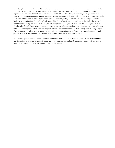Oldenburg led expedition teams and took a lot of the manuscripts inside the caves, and since they saw the murals had an inner layer as well, they destroyed the murals outside just to check the inner workings of the murals. The worst expedition yet was from White Russian soldiers, who fled to Nationalist China, seeking refuge. They vandalised and damaged the Mogao Grottoes even more, significantly damaging some of the caves when they arrived. This was certainly a sad moment for Chinese archeologists, which praised Dunhuang's Mogao Grottoes a lot due to its significance in Buddhist transmission into China. This finally stopped in 1944, where it was protected just so slightly by the Research Institute of Dunhuang Art, founded in 1944, to care and protect the Mogao Grottoes. In 1956, the Mogao Grottoes, First Premier Zhou Enlai, saw great interest in the caves and vowed to protect it. And so, the caves were repaired much faster. The first large renovation after the Mogao Grottoes' destruction happened in 1941, led by painter Zhang Daqian. They spent two and a half years repairing and protecting the murals of the caves. Since then, renovation missions and projects have been made in the 20th century, as it was finally recognised by UNESCO in 1987.

Now, the Mogao Grottoes is a famous landmark and tourist attraction in modern Gansu province, for it's Buddhist art and design. It is no longer a tale, a myth made-up by the older monks, and the Grottoes have come back as a famous Buddhist heritage site for all of the tourists to see, admire, and visit.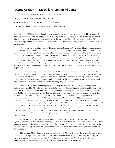## Mogao Grottoes— The Hidden Treasure of China

Immaculate Heart of Mary College, Chou, Cheuk Yan Ambrose  $-16$ 

The ancient Mogao Grottoes, the splendid ancient world,

A visit to the Mogao Grottoes, a change of our my life journey,

Following the light of Buddha, the light to the true wisdom and peace.

Reading a book of Chinese History about Mogao Grottoes has led me to a surprising journey of this awesome and fabulous place recently. With the surging of the virus, many are forced to give up their plans of traveling but for me, I enjoy immersing myself into the wonders and history of the ancient world through reading. A book about Mogao Grottoes has opened the windows for me to see, to admire and to appreciate the magnificent world of Buddhist artwork and scriptures.

 The Mogao Caves, also known as the Thousand Buddha Grottoes or Caves of the Thousand Buddha statues, forming a system of 500 temples in the center of Dunhuang. It is a invaluable oasis located at a religious and cultural crossroads on the Silk Road, in Gansu province, China. The caves are also known as the Dunhuang Caves; however, this term is also used to include other Buddhist cave sites in and around the Dunhuang area, such as the Western Thousand Buddha Caves, Eastern Thousand Buddha Caves, Yulin Caves, and Five Temple Caves. The caves contain some of the finest examples of Buddhist art spanning a period of 1,000 years. The first caves were dug in AD 366 as places of Buddhists' meditation and worship. The Mogao Caves are also best known of the Chinese Buddhist grottoes and, along with Longmen Grottoes and Yungang Grottoes, they are indeed one of the three famous ancient Buddhist sculptural sites of China.

 The caves are usually referred to the Thousand Buddha Caves, a name that, some scholars thought that was from the legend about a monk, Yuezun, who had a vision of a thousand Buddhas at the site. However, the place could be also named for its tremendous number of Buddha figures at the site. The miniature figures painted on the walls of these caves are part of the wonder, "Thousand Buddhas" as well. In the past, Mogao Cave was a Cave where people stayed for prayers as well as meditation, an oasis for refreshing the body and mind.

 Someone may wonder about the purpose of building such a fantastic site. The very first idea was from a Buddhist monk called Lè Zūn, who believed that he had a vision of a thousand Buddhas bathed in golden light at the site in 366 AD. Though the vision might not last for a long time, he was inspired by the vision, believing it was the call from Buddha for him to stay there to pray. Therefore, he started to dig a cave for having his spiritual formation there. However, this is not the only saying of the origin. Some said Lè Zūn was inspired to build the grottoes because of inscriptions on a stele in the cave in 332 AD. An earlier date of 353 AD however could be found in another document, Shazhou Tujing. Therefore, the exact building time of Mogao Cave remained a mystery. He was later joined by a second monk Faliang, and the site gradually grew, by the time of the Northern Liang, a small community of monks had formed at the site. The caves initially served only as a place of meditation for hermit monks but then unexpectedly developed for serving the monasteries that grew nearby. To show their respect to Buddha, members of the ruling family of Northern Wei and Northern Zhou continued to construct many caves here, and it flourished in the short-lived Sui Dynasty. Now, as we all know, during the Tang Dynasty, the number of caves increased enormously and even reached over a thousand.

 By the time of Sui and Tang dynasties, Mogao Caves had become a place for worship and a place for pilgrimage. Many faithful donated money or savings to elaborate and paint the caves. The emperor even donated a huge amount of money to help to build the caves. It had also become one of the most important commercial centers of the Silk Road. The two large Buddha statues at the site were also built at that time, and it was the glorious time of Mogao Caves definitely.

 However, the Mogao Caves then started to decline. In 845 AD, the city where the Mogao Caves are located, Dunhuang, was occupied by Tibetan. The city then acted as a frontier town to China. Since then, Dunhuang was occupied by various tribes that were not Han Chinese for a long time. After the Tang Dynasty, the site went into a gradual decline, and construction of new caves even ceased entirely after the Yuan Dynasty.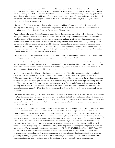Moreover, as Islam conquered much of Central Asia and the development of sea-route trading in China, the importance of the Silk Road also declined. Therefore, less and less number of people visited this holy place, Mogao Caves. During the Ming Dynasty, the Silk Road was also officially abandoned. As a result, Dunhuang slowly became depopulated and largely forgotten by the outside world. Most of the Mogao caves, the precios oasis for mind and spirit, were abandoned though some still went there for prayers. However, due to the lack of budget, the fading glory of Mogao Caves was even lost until the early 20th century.

The beauty of Dunhuang was totally forgotten by the outside world for a few decades until the late nineteenth century and early twentieth century. No one would have imagined that the Western explorers were the ones who were so much interested in the ancient Silk Road and the lost cities of Central Asia.

Those explorers who passed through Dunhuang noted the murals, sculptures, and artifacts such as the Stele of Sulaiman at Mogao. The biggest discovery came from a Chinese Taoist named Wang Yuanlu who considered himself as the guardian of some of these temples around the turn of the century, and thus he tried to raise funds to repair the statues. He discovered rooms that were blocked by sand due to wearing. In those rooms, there are a lot of gorgeous paintings and sculptures, which were also extremely valuable. However, among all these ancient treasures, an enormous hoard of manuscripts was the most precious one. At that time, Wang wrote letters to the governor of Gansu about the treasure. However, they could not see the amazing value. Instead, they treated them as ruins and refused to protect these cultural treasures. Soon, they had to pay for their wrong decision.

The remark of Wang's discovery drew the attention of a joint British-Indian group led by the Hungarian-born British archeologist, Aurel Stein, who was on an archeological expedition in that area in 1907.

Stein negotiated with Wang to allow him to remove a significant number of manuscripts as well as the finest paintings and textiles in exchange for a donation to Wang's restoration effort. He was followed by a French expedition under Paul Pelliot who acquired many thousands of items in 1908, and then by a Japanese expedition led by Otani Kozui in 1911 and a Russian expedition of Sergei F. Oldenburg in 1914.

A well-known scholar Luo, Zhenyu, edited some of the manuscripts Pelliot which was then compiled into a book which was then published in 1909 as "Manuscripts of the Dunhuang Caves". After such a great loss, scholars in Peking(now named Beijing) finally acknowledged the value of the 'ruin'. Having worries that the remaining manuscripts might be lost again, the central government decided to start recovering the rest of the manuscripts for sending them back to Peking. However, not all the remaining manuscripts were taken to Peking, and of those retrieved, some were then stolen by treasure hunters. Rumors of caches of documents taken by local people had continued for some time, and a cache of documents hidden by Wang from the authorities was later found in the 1940s. However, this was only the start of the loss.

Later, more bad news came up. The central government discovered that some of the caves were damaged and vandalized by White Russian soldiers when they were used by the local authority in 1921 to house Russian soldiers fleeing the civil war following the Russian Revolution. Also, in 1924, American explorer Langdon Warner removed a few murals as well as a statue from some of the caves. In 1939, Kuomintang soldiers stationed at Dunhuang caused some damage to the murals and statues at the site.

Fortunately, the central government was very much concerned about the loss, and they told the painter Zhang Daqian to go to the caves with a small team of assistants and stay for two and a half years to repair and copy the murals. He exhibited and published the copies of the murals, which helped to publicize and give much prominence to the art of Dunhuang within China. Later, the Research Institute of Dunhuang Art (which later became the Dunhuang Academy), established at Mogao in 1944 to look after the site and its contents. In 1956, the first Premier of the People's Republic of China, Zhou Enlai, took a personal interest in the caves and sanctioned a grant to repair and protect the site; and in 1961, the Mogao Caves were declared to be a protected historical monument by the State Council, and large-scale renovation work at Mogao began soon afterwards. Today, efforts are put into conserving and doing research on the site and its content. The wonder of Mogao Caves became one of the UNESCO World Heritage Sites in 1987. From 1988 to 1995, 248 caves were discovered to the North of the 487 caves known since the early 1900s. Also, the Chinese government now restricted the number of tourists to the caves to protect it. Also, they improved their recovering and protecting technology to prevent the caves from any severe damages. Therefore, although there are some inevitable damages causing some caves to collapse, most of the remaining caves are preserved without serious defects.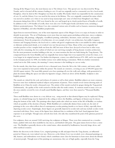Among all the Mogao Caves, the most famous one is The Library Cave. This special cave was discovered by Wang Yuanlu, and it is located off the entrance leading to cave 16 and was originally used as a memorial cave for a local monk, Hongbian, when he died in 862. Hongbian was from the wealthy Wu family which was responsible for the construction of cave 16, and the Library Cave was used for his retreat in his lifetime. The cave originally contained his statue which was moved to another cave when it was used to keep manuscripts and some of which bear Hongbian's seal. Many documents dating from 406 to 1002 were found in the cave and heaped up in closely packed layers of bundles of scrolls. In addition to the 1,100 bundles of scrolls, there were also over 15,000 paper books and shorter texts, including a Hebrew penitential prayer. The Library Cave also contained various sorts of textiles such as banners, numerous damaged figurines of Buddhas, and other Buddhist paraphernalia.

Apart from its renowned history, one of the most important aspects of the Mogao Caves is to enjoy its beauty in order to identify its preciosity. The art of Dunhuang covers more than ten major genres,including architecture, stucco sculpture, wall paintings, silk paintings, calligraphy, woodblock printing, embroidery, literature, music and dance, and popular entertainment. From the perspective of architecture, it is an example of rock-cut architecture, but unlike Longmen Grottoes and Yungang Grottoes, the local rock is a rather soft gravel conglomerate that is not suitable for either sculpture or elaborate architectural details, so it is indeed very rare but precious in China. Many of the caves originally had wooden porches or fore-temples built out from the cliff, but most of these have decayed or been lost in other ways, with only five remaining, the two earliest of which are rare surviving examples of Song dynasty wooden architecture. For the most prominent wooden building at the site, we must mention the first one built during the Tang dynasty. The compound houses the Great Buddha and was originally four storeys high, but it was repaired for at least five times, so it is no longer in its original structure. For further development, a storey was added between 874-885, and it was repaired in the Guiyijun period. In 1898, two further storeys were added during a restoration. With two further restorations carried out in the 20th century, the stunning 9-storey structure is the building we can see today .

For the murals, they date from a period of over a thousand years, from the 5th to the 14th century, and many earlier ones were repainted at later points within the period. The murals are extensive, covering an area of 490,000 square feet (46,000 square metres). The most fully painted caves have paintings all over the walls and ceilings, with geometrical or plant decoration filling the spaces not taken by figurative images, which are above all the Buddha. Sculpture is also brightly painted.

The murals are valued for the scale and richness of content as well as their artistry. Buddhist subjects are most common; however some have traditional mythical subjects and portraits of patrons. These murals reveal various drawing styles of Buddhist art in China for nearly a thousand years. The artistry of the murals reached its apogee during the Tang period. Unfortunately, the quality of the work seemed to decline after the tenth century. A common motif in many caves are the areas entirely covered by rows of small seated Buddha figures, and they were then named as "Thousand Buddha Caves".

These small Buddhas were drawn in a very delicate way, using stencils so that identical figures may be replicated. Flying apsaras, or celestial beings may be depicted in the ceiling or above the Buddhas, and figures of donors may be shown along the bottom of the walls. The paintings often depict jataka tales which are stories of the life of Buddha, or avadana which are parables of the doctrine of karma. While Buddhist art is stylistically distinct from secular art, the style of paintings in the caves often reflects that of contemporary secular painting (insofar as we know of this), especially those depicting secular scenes. Surprisingly, donor figures are generally depicted in secular style and may include secular events associated with them. Now, many of the figures have darkened due to oxidation of the lead-based pigments from exposure to air and light. Though some artwork does look a bit odd, they manifested the peak of the glorious period of the caves.

For sculptures, there are around 2,400 surviving clay sculptures at Mogao. These were first constructed on a wooden frame, padded with reed, then modelled in clay stucco, and finished with paint. The giant statues however have a stone core. The Buddha is generally shown as the central statue, often attended by bodhisattvas, heavenly kings, devas, and other mythical creatures.

Before the discovery in the Library Cave, original paintings on silk and paper from the Tang dynasty, an influential period in Chinese art, were indeed very rare. However, as the Library Cave was revealed, over a thousand paintings on silk, banners, and embroideries were found, which contributes more clues for historians to learn more about the lifestyle of ancient people. Though most of the paintings are anonymous, they are of high quality, especially from the Tang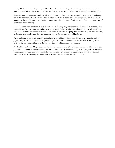dynasty. Most are sutra paintings, images of Buddha, and narrative paintings. The paintings show the features of the contemporary Chinese style of the capital Chang'an, but many also reflect Indian, Tibetan and Uighur painting styles.

Mogao Caves is a magnificent wonder which is well-known for its enormous amount of precious artwork and unique architectural structures. It is also where Chinese culture meets other cultures as it was occupied by several tribes and countries in the past. However, what is disappointing is that this exhibition of art is not a complete one as some parts of the treasure are still missing.

Now, the British Museum keeps most of the treasures with a staggering number of 13.7 thousand historical relics from Mogao Caves. For years, enormous efforts were put into negotiation to bring back all these historical relics to China. Sadly, no substantive actions have been done. Also, some treasures were kept by India and France by different incidents, while some were lost. Besides, there are rumors saying that the lost ones were sold to Japan.

The loss of some treasures of Mogao Caves is, of course, something we dearly miss. However, we may also see how popular the place was in the past, and its glory and spectacular structure and treasures are still with us, telling us the stories in the past while guiding us to the light, the light of walking in peace and harmony.

We should remember the Mogao Caves are the gifts from our ancestors. We, as the descendants, should do our best to protect it and to appreciate all the stunning artworks. Though we can sometimes find pieces of Mogao Caves in different countries, may the fragments of this wonderful place shine in every country, strengthening us through the times of adversities as well as refreshing our mind and soul to encounter and endure the hardships in life.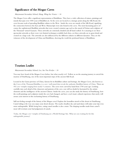## Significance of the Mogao Caves

## Marymount Secondary School, Hung, Wing See Venice  $-16$

The Mogao Caves offer a significant representation of Buddhism. They have a wide collection of statues, paintings and murals that span over 1000 years of Buddhist art. As the caves are located at a strategic point along the Silk Road, the caves became tools of spreading Buddhist culture to the West. Inside the caves are murals of the Silk Road, signifying the connection between the East and West. Manuscripts were also found in the caves. The most fascinating part is of course the sophisticated Buddhist artworks that were created centuries ago such as the mural of Feitian and sculpture of the Thousand-armed Guanyin. These artworks are extremely detailed and all hand crafted. It is amazing to see these spectacular artworks as there were very limited techniques available back then, yet these artworks are in great detail and created on a large scale. The artworks are also influenced by the different cultures in different dynasties. They are the witnesses of the development of China and Buddhism, showing the world the profound history of Buddhism.

## Tourism Leaflet

## Marymount Secondary School, Lee, Sze Yue Evelyn  $-16$

You may have heard of the Mogao Caves before, but what exactly is it? Follow us on the amazing journey to unveil the mystery of DunHuang, one of the most important stops of the ancient Silk Road.

Located in the Gansu province of China, famous for its Buddhist culture and heritage, the Mogao Caves, also known as the Caves of the Thousand Buddhas, is a cave-wall mural that reveals the authentic Buddhist history of China. There are 492 cave-temples ranging from nearly 9 centuries. The caves were carved by hand from 1700 years ago. Looking carefully into each detail of the characters and patterns of the cave, you will no doubt be fascinated by the artistic elements and the intelligence of the ancient Chinese. Inside the caves, you can also study the history of DunHuang, how the scroll paintings and sculptures inside the cave had changed, and have a real visual, cultural experience that surely will arouse your interest in this enchanting history of DunHuang.

Still not feeling enough of the history of the Mogao caves? Explore the boundless stretch of the desert in DunHuang. Camel riding is the way you enjoy your desert dreams. The nearly cloudless sky and sand dunes will make your trip even more unforgettable. While being here, eating camel noodles is also a must. The slurping noodles made from camel's meat will overturn your bad judgement of camels.

Today, the Mogao cave-temples of Dunhuang are a World Heritage Site. What are you waiting for for this unforgettable journey!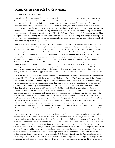## Mogao Caves: Relic Filled With Mysteries

## Pui Kiu College, Au, Sik Chi Angie - 15

China is known for its uncountable historic sites. Thousands or even millions of tourists visit places such as the Great Wall, the Forbidden City and Emperor Qin Shi Huang's Mausoleum Site every year. Not only relics about China's history such as all the dynasties in different time periods, but also the archaeological finds about one of the most commonly known religions, Buddhism. Talking about Buddhist art sites, Buddhists would definitely tell you that the most spectacular historical remains must be the Mogao Caves, also known as Thousand Buddha Grottoes or Caves of the Thousand Buddhas located in China Dun Huang. Excavated into a mile of cliff face outside Dunhuang, an oasis town at the edge of the Gobi Desert, the site's Chinese name "Mo Gao Ku" means "peerless caves". Thousands or even millions of sculptures, artwork, paintings, manuscripts, textiles from the cave have been studied by archaeologists from the past till now. Here, I am going to introduce the history, background story, and some of its memorable artworks and basically all aspects about this mysterious Mogao Grottoes.

To understand the explanation of the caves' details, we should get ourselves familiar with the cause or the background of the cave. Starting off with the history of China Buddhism. Chinese Buddhism is the largest institutionalized religion in Mainland China, also ranking the fifth religion in the most popular religion, with approximately five million members. Just in China, there is an estimation of already 185 to 250 million Chinese Buddhists. This religion is actually a Chinese form of Mahayana Buddhism which was originated in India. It had played a significant role in shaping the Chinese ancient culture in a wide variety of places, for instance, the civilization of art, literature, philosophy, medicine in China is all deeply related to Buddhism beliefs and stories. However, what makes it different from the original Buddhism in India? Well, Chinese Buddhism was influenced by other ancient China beliefs such as Confucianism, also known as Ruism and Daoism. It would be too complicated to deeply dive into its differences. But to name one of the biggest and most interesting contrast, I would say it is believed the original Buddha reached enlightenment after fasting. They believe fasting is a way to show respect to Buddhas, so it has an extremely skinny and gaunt image. While Chinese Buddhism's main goal or belief in life is to be happy, therefore it is often to see fat, laughing and smiling Buddha sculptures in China.

Back to our main topic, Caves of the Thousands Buddhas. Let me introduce its basic information first, It is located in the southeast side of Dun Huang, specifically an oasis on the Silk Road in Gan Su. The first cave was dug during AD 366 by Buddhists to have a meditation and worship area. There are different sayings about the story of how the cave was dug. The most popular story is about a Buddhist monk Le Zun. One day, while Le Zun was taking a rest in that area, he suddenly saw many golden rays shining from the sky. Then, the vision of thousands of Buddhas appeared. Le Zun believed this place must have some special meanings to the Buddhas, this had inspired him to find people to help building a cave here. Later on, another monk named Fa Liang joined him, and built the second cave. Since then, the caves became an area of a community of Buddhists from the southeast to have meditation gatherings. The scale of the caves developed rapidly. Royal family members from Northern Wei and Northern Zhou constructed many caves too. People donated money to build the caves of good luck. By the Tang dynasty, there were already over 1000 caves built in that area. The cave also became serving as a shrine and Buddhists all over China started painting the caves and contributed to the caves as a sign of respect. However, when it comes to the Yuan and Ming dynasty, various of sea trading routes were developed, the cave's importance and influence declined as the Silk Road wasn't used as frequently as before and even completely abandoned shortly after. So, the Mogao caves were abandoned by people and deserted for a period of time.

Hold on, if the caves were already forgotten by people during the 11th century, how can we still visit and see studies about the grottos in the modern times now? This leads to the second major topic I'm going to discuss about, the discovery and revival of the Mogao Caves. Between the late 19th and early 20th century, western explorers started show an interest about the ancient Silk Road and the abandoned cities, historic sites in China, especially the areas among Dun Huang. However, the biggest discovery was found by a Chinese Taoist Wang Yan Lu. He tried to raise funds for the reparation of the cave. In 1907, Wang's discovery gained the interest of a group of British and Indian people who was on an archaeological expedition in that area. More and more foreigners visited the caves, but as an aftermath of letting the public to visit the caves, unfortunately, a lot of manuscripts were taken and till now we still can't have a complete tracking of them. Some of them are not even in China. In 1941, Chinese painter Zhang Da Qian arrived at the caves with a group of assistants and stayed for two and a half years to repair and copy the murals. People started to participate in repairing and study about the cultural relics, which has stopped the wide spreading damage and this is why the caves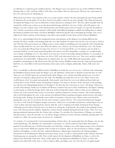are still kept in a relatively good condition till now. The Mogao Caves was named to be one of the UNESCO World Heritage Sites in 1987, and from 1988 to 1995, there were further 248 caves discovered. Till now, the conservation of the caves and research are still going on.

What about now? How is the situation of the caves in the modern century? Are they damaged? Are they being studied by historians all over the globe? Or are they closed to the public to prevent any more damage? The China government developed the Mogao Caves into an informative tourist attraction in starting in 2014. This have allowed people from all around the world to get a chance to see this spectacular heritage with their own eyes. Today, with 492 grottoes, the Mogao Caves also contains some 2,100 coloured statues and 45,000 square meters of murals, it is open for the public to visit. Tourists can purchase tickets and there will be guide with different languages available for leading them to admire the historical tradition and culture of Chinese Buddhism without having the risk of damaging the heritage. One way it helps boost China's tourism at Dun Huang, it also allows more people to learn about ancient Chinese Buddhism.

Now we've acknowledged about the background stories and situations of the Mogao Caves during different time periods, but what's actually so fascinating inside the caves that hundreds of tourists visit Gan Su every year just to check it out? That the China government was willing to put so much capital in rebuilding and conversing the relics? Introducing what's actually inside the caves, let's start off by the Library cave, which is one of most well known caves. The Library Cave was named after Wang Yuan Lu's discovery of Cave 17. It is located off the cave 16 entrance and was built as a memorial tomb for a local monk named Hong Bian who died in year 862. Hong Bian, a member of a wealthy family, was in charge of building cave 16. The Library Cave may have served as his refuge during his lifetime. A vast number of manuscripts, which belonged in date from year 406 to 1002, were discovered in the cave. They were stacked in tightly packed layers of scroll bundles. Talking about its cultural value, the cave is fully filled with manuscripts, scrolls, pamphlets, and paintings on silk. Between the 9th and 10th century, Buddhist monks from the Tang and Song dynasties built the cave, then filled it with ancient literature about topics such as religion, philosophy, history, folk music and dance.

Now, I would like to talk about different forms of Buddhist art inside the cave one by one. I will start with mentioning the Buddhism themed murals inside the Mogao caves. By definition, murals refer to all kinds of artwork done on wall. There are over 490,000 square feet of murals inside all the Mogao caves, and the most fully painted caves even have artworks covering the ceiling and all over the walls. The Buddhist arts inside the cave are even called "Gem in the world's history of art" by people internationally. Early murals' styles from the caves were influenced from India and Central Asia in terms of both content and painting techniques. For instance, the faces of the characters in the paintings not only have the distinguishing features of "foreigners," but they also have rich tones to create a 3D image, which is an art style and technique usually seen in Indian and Western countries but not in China. Furthermore, the figures' clothing in such murals are relatively foreign styled, with some of them being half-naked, which is rarely seen in traditional Chinese art, as the ancient China society was less open-minded compared to western countries. The murals' painting style evolved throughout the years, as the amount of traditional Chinese painting techniques started increase and replace the foreign styles. Perhaps, the particular reason of this circumstance is because more Chinese artists were hired for painting the caves, but no one knows for sure and it remains a mystery till now. The content developed and changed over time as well. Instead of religious imagery and stories, which were occasionally romanticized, murals began to be on a more realistic style that represented the citizens' daily life, such as working in the fields, hunting for food, farming, celebrating ancient Chinese festivals and so on. Moreover, during the Tang dynasty, the people in the paintings became more well-dressed and also chubbier, fitting the common beauty standards during that period of time. They were seen playing traditional instruments like the Chinese lute, and pipa. To conclude, the characteristics of Mogao cave murals I introduced above, from the artworks, we can tell the changes of history in terms of beauty standards, painting styles. No wonder it is called "the treasure house of ancient art" worldwide.

To continue, I've mentioned the word manuscript plenty of times above, the manuscripts from the Mogao caves are also worth introducing. The definition of a manuscript is a document, or a book written by hand rather than typed or printed. It's possible that up to 50,000 manuscripts were held there, making it one of the largest treasure troves of historic texts ever discovered. While the majority of the records are in Chinese, there are also documents in Tibetan, Uighur, Sanskrit, and Sogdian, as well as the then-unknown Khotanese. Manuscripts varying from the Christian Jingjiao Documents to the Dunhuang Go Manual and ancient music scores, as well as a representation of the Chinese astronomy Dunhuang map, are among the scrolls. These scrolls capture the development of Buddhism in China, as well as the political and cultural life of the time. These scrolls capture the development of Buddhism in China, as well as the political and cultural life of the time, as well as ordinary affairs, providing a rare view into the lives of regular people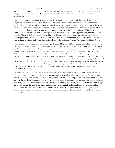during these periods. Following the aftermath of this discovery, the manuscripts were spreaded all across the world and a large number of them are still missing till now. However, some manuscripts were translated to different languages and being sent to China's museums, so the historical value from the caves' documents got to be kept and studied by archaeologists.

Moving to the art that's way more realistic and spectacular, another interesting artwork that is worth for seeing in the Mogao caves are the sculptures. There are around 2,400 clay sculptures that have remained. These were built on a wooden frame and padded with reed before being modelled in clay plaster and painted. Early sculptures were based on Indian and Central Asian models, including some in the Gandhara Greco-Indian style. The sculptures gradually became more eastern styled as they included more Chinese influences, such as Maitreya Buddha in cave 275 from Northern Liang, one of the earliest caves. One interesting story is that because one of the most gigantic and significant Buddhas from the Tibetan periods were partly destroyed in an earthquake, it has been repaired and rebuilt several times by different professionals all around the world. Therefore, its dress, colour, and motions have all been altered, with just the head retaining its original Early Tang characteristic. It is now located in the National Art Museum of China, Beijing.

Now let's move on to the painting on silk and paper from the Mogao cave. Most paintings from China were only found from the Tang dynasty, which is an influential period of Chinese artworks. However, after the discovery of the Library cave I mentioned earlier, over a thousand paintings on silk, banners, and embroideries were found. The majority of the paintings are nameless, but many are in excellent quality, particularly those from the Tang dynasty. Sutra paintings, Buddha images, and narrative paintings make up the majority of the collection. Many of the paintings represent Indian, Tibetan, and Uighur painting techniques, as well as the capital Chang An's contemporary Chinese style. Single figures are the most common, and most paintings were most likely presented by an individual, who is frequently depicted on a small size. By the 10th century, the donor figures' costume has become noticeably more magnificent. While about the textiles discovered in the cave, silk banners, altar hangings, manuscript wrappings, and monks' clothing are among the items discovered in the Library Cave. As a symbol of humility, monks would wear garments made up of a patchwork of different bits of cloth.

The contribution of the Mogao caves made to the research of ancient eastern history is uncountable and remarkable. From the heritage in the caves like paintings, sculptures, murals, we can learn about the transitions of history between centuries. Not only it has recorded the cultural changes in China, but also the religious influence from eastern countries, and even the fact that western people got in contact with the cave and developed the trade routes and cultural exchange across the globe. The Chinese government decided to conserve the artifacts, putting them in museums for better storage and also developing the caves into a tourist attraction and a landmark in Dun Huang. People get to understand the history behind the caves with the help of local guides and explanations in the museum. It also helps spreading the Chinese ancient culture and Buddhism worldwide. I hope the information above have helped you to have a deeper dive into this topic.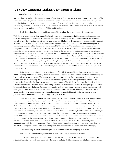## The Only Remaining Civilized Cave System in China?

## Pui Kiu College, Kwan, Cheuk Long  $-15$

Ancient China, an undoubtedly important period of time for us to learn and research, remains a mystery for many of the professional archaeologists and historians throughout the globe. However, with the new discovery of the Mogao Caves located right beside the city of Dunhuang in the province of Gansu in China, the research progress has had its breakthrough since then. The cave itself has been renovated into a tourist center for visitors to enjoy their stay there and have a better understanding of the history of China and its culture.

I will first be introducing the significance of the Silk Road on the formation of the Mogao Caves.

With the cave system located right on the Silk Road, a vital trade route to maintain China's economic development since the Han dynasty, as well as the achievement for China in contacting the west for the first time. It is extremely difficult to have discovered the relics from our ancestors, as the Silk Road itself is measured to be a formidable length of around 4000 miles, which is just over 1.5 times of the length between the northernmost and southernmost point of world's longest nation, Chile. In numbers, that is around 1347 miles apart. The Silk Road itself spans across the European continent, Arab world, Central Asia and Eastern Asia, which passes through uninhabited deserts, highlands, mountains and other extreme terrain. It directly links China to Europe and allows cultural exchange to take place in between the East and the West, influencing the Eastern nations and introducing them to the cultures across the continent of Europe, for example Catholicism and the Sunni faith. It is without a doubt that the Silk Road was a significant part of China's history, its importance could be further proven when the Ottoman Empire decided to block the Silk Road and raise the taxes for merchants passing through Constantinople along the Silk Road. In such an atmosphere, cultural and economic exchange between countries has been greatly facilitated and a center of such an action is needed to help the accommodation for the followers of the different religions. Therefore, it has urged the formation of the Mogao Grottoes in Gansu, China.

 Being in the intersection point of two tributaries of the Silk Road, the Mogao Cave system was the core of cultural exchange and trading. Bartering between natives and Europeans as well as Chinese merchants mainly took place here with its convenient location. The caves were an economic powerhouse during the time with not only its tax income from the travelers along the Silk Road, but also the trade power in that corresponding trade node. It was however abandoned after the Tang dynasty due to the main reason of the Silk Road also being abandoned, with the Tibetans controlling the province and sea trade being conducted more frequently. However, during its apex, the caves have seen its better days during the Tang and Sui dynasties, with the most constructed caves within a year, along with the largest one built that homed to the 3rd largest Buddha statue which still remains nowadays. The caves were an architectural wonder, many historians have referred to the cave that the 3rd largest Buddha was located in where practically almost impossible with the technology developed back then.

 With the caves being a hub for the exchange in cultures, many different traditions have been brought to the place and introduced to the Hans. At first, the neighbors of China, Indians, arrived at the caves and influenced it with their own culture. Buddhism has gained its popularity throughout China with the assistance of the Mogao Grottoes. Buddha statues were built in the caves for worshipping, caves were opened to the public to help publicize the religion. To an extent, the Chinese were greatly impacted by the influx of such a culture, ruling families in China have had their rulers believed in Buddhism, and has ranked from a culture that was unknown throughout China to a dominant religion in the Eastern Asia region. The Mogao Caves were painted with Indian and Central Asian painting techniques. The mural of "Guanyin" was drawn on the walls in cave 57, which means the 57th cave that was discovered in chronological order. Others such as the portraits of the rulers during that time or other religious figures are also found on the walls of the caves. These have all marked an important milestone for the ancient Chinese for their acknowledgement and communication with the other cultures neighboring them, urging cultural integration at the early ages, and showing ancient Hans being ahead of time with their foresights on what must be done in order to have a smooth legacy.

While for trading, it is not hard to imagine why it would contain such a high up in its value.

Next up, I will be introducing the location of such a historically significant cave system.

 The Mogao Caves system is built on a hill, where it is just south east of the existing city, Dunhuang. The Mingsha Mountain was a preferable location for the caves to be built. As I have just said, the Silk Road was an essential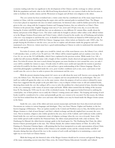economic trading node that was significant to the development of the Chinese and the exchange in culture and trade. With the population and trade value in the Silk Road being skyrocketed, the cave system is built in the best location in order to facilitate the nearby citizens and the Westerners to bargain and sell their own religions to the others.

 The cave system has been revitalized into a visitor center that has contributed one of the many major boosts in tourism in China, with the remaining being the major cities and the national parks in mainland China. The Mogao Caves have played an important role since its initial construction. Its historical value could be further proved by the name given to the cave, along with the Longmen Grottoes and Yungang Grottoes, they are referred to as China's Three Grottoes in the present days. English-language tours run at 9 am, noon and 2:30 pm every day, to access this tour, buying the A ticket with ¥258 would also buy you an admission to two different 30-minute films, usually about the history and present of the Mogao Caves. The ticket could only be bought in advance either online at the official website or in the Mogao Grottoes Reservation and Ticket Center, which is located in the nearby city of Dunhuang and includes a free two-way transport to and from the caves. It should be noted that A tickets are limited to 6000 tickets per day. B tickets could also be purchased for ¥100 for Chinese-language tours, where tickets are limited to only 12000 a day. For people buying the B tickets to visit the caves, you are free to explore and adventure inside the gorgeous and wellmaintained caves. However, visitors must have a good understanding in Chinese in order to understand the introduction from the tour guide.

 For ticket A owners, only eight caves would be visited, one of the most famous caves, the Library Cave, which I will introduce later, as well as Cave 96 and Cave 148. Others will be rotated regularly and are random every time. In Cave 96, we can see the 35.5 tall Buddha, which I have explained in the previous section. While inside Cave 148, a smaller but still enormous Buddha statue with a height of 26m would be closely observed and appreciated by the visitors there. For ticket B owners, the tour is much shorter but grants you more freedom to view around the caves, yet only 4 caves will be available for visitors to enjoy. Overall, ticket A will be more useful and enjoyable for tourists to purchase and ticket B would be for those who are in a rush and have a great understanding of the Chinese language. Please be noted that photography is prohibited inside the caves, poor weather conditions such as rain, snow, sand storm or hail would cause the caves to close in order to protect the environment and the caves.

 With the present situation being sorted, let's move on to talk about the most well-known caves among the 492 caves, the Library Cave. The discovery of the cave is a surprise and was not predicted by any archeologists. The cave itself was walled off against the other cave in the same system, where the purpose of such an action is debated by many. Some have suggested that the people in the past didn't have a way to dispose of their waste or old and outdated books, throwing them inside the cave the sealing it off is a way to solve the problem for a short period of time, therefore leading to the cave containing a wide variety of ancient scripts and books. While others insisted that the hiding of the invasion from Xi Xia during the 1030s may be one of the overlooked reasons. As the aggressors looked forward to unifying the central plain, one of their policies was to unify the Chinese's writing system and culture. The keeping and storing of such books would be considered to be a crime and potentially get the cave owners to be executed. For this reason, the Library Cave has been isolated from the other caves and some other hidden caves may be found inside the Mogao Grotto system in the future.

 Inside the cave, some of the oldest and most ancient manuscripts and books have been discovered and stored. Documents are written in various languages and ideologies. They vary from Tibetan, Uighur and Sanskrit, to the less known language of Khotanese. They are spoken mainly in the Central and Northern areas in Asia, this further proves the Mogao Grottoes is a hub of most Europe's and Asia's cultural exchange and directly implied how necessary the caves were. Not to mention, religion is also widely speeded in the area, traces of the Catholic and Confucian works could be found inside the cave and was an important center of religious exchange when the cave was at its peak. Some of the most widely spread scrolls would be the Diamond Sutra, the oldest extant printed book with a date in history. The Dunhuang Go Manual, the oldest known strategic guide to the board game Go. The Dunhuang Star Chart, the oldest known Chinese pictorial guide to the stars. The Tibetan Annals, the earliest written history of Tibet. As well as The Painting of a Nestorian Christian figure, a silk painting that has been interpreted as an early representation of Jesus Christ. These all marked deeply into the history of the Chinese as the unstable society and the constant decline and fall of dynasties during that time all paved the way to the creation of such scrolls and helped us in maintaining a correct and right way to view back on Chinese history.

 With this being said, the historical value of the Mogao Grottoes should not be overseen and ignored. Being one of the many outstanding ancient ruins that China owns, the United Nations Educational, Scientific and Cultural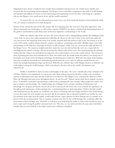Organization have always considered such wonders from mankind in the past to be one of their most valuable and favoured sites for researching and investigating. The Mogao Caves is therefore categorized in the field of world heritage and hundred and millions of money is used in protecting and maintaining it in its best state. This brings up a question, why are the Mogao Caves worth much of our and the world's attention?

To answer this, we can view this question in many ways, one of the being the historical value behind the build. The cave system is estimated to be built during the

dynasty of Sui, around the time of the 4th century AD. It is surprising how the caves have kept their appearance with almost a thousand years of abandon, as well as their contents. UNESCO has always considered the long lasting history of the grottoes and decided to make them some of the most impressive world heritage in the world.

While the cultural value of the site have also acted a decisive role in distinguishing whether the building is really a state of the art site or just a plain unimpressive build after all. However, the wide variety of arts and books inside the cave have proven the statement of the latter to be invalid. Artwork from the period as early as the 3rd century to as late as the 14th century could be found, from the category of sculpture, to paintings and textiles. Buddha statues were built and paintings on the daily lives of people are drawn on silk and paper, while some are carved on the walls and floors of the Mogao Caves. The numerous temples and altars inside the caves also showed that the caves are a major hub for worshipping and cultural exchange, directly increasing the cultural value of the caves. Not mentioning that the printing method that the Chinese invented played an important role in their history, or even the world's history. The innovative ideas of printing press have been introduced in China and widely used, the monks inside the Library Cave being one of the largest users of the newly developed technology, the printing press at that time. With this, the origin of the printing press may actually be around the area of Dunhuang and therefore the caves, and it is without a doubt that the cave system has brought humankind a huge step forward. With this, the cultural value of the Mogao Grottoes is definitely one of the highest among the world heritages, while it also played a decisive role in the world's development and improvement.

Finally, I would like to share my ideas and thoughts on the place. For such a valuable place that contained some of China's history to be maintained, it is not an easy task. Many jobs are present in the place owing to the exorbitant amount of information and value that the world has yet to discover. The Mogao Caves contained the daily lives of the Hans, the Mongols and much more throughout history. As one has said," History repeats itself, first as tragedy, second as farce." It should be noted that learning history could avoid us repeating the same mistakes other people have made, and also to enhance our knowledge. The world heritage site of Mogao Caves contains a plethora of information and knowledge we can grasp and absorb, but not all can do so and not all will. Some may even overlook the importance of the upkeep and maintenance of these heritage sites, contaminating them or destroying them. I believe that this would only bring bad but not the goods, we would lose our chance in learning extra knowledge and know more about history, we may also make the same mistakes our ancestors did. In my opinion, this is extremely hurtful to see and the less and less attention of the topic from the public would really become a great obstacle for these heritage sites to continue to be preserved for the next generation. Not to mention, constant wars close by the world heritage sites would also affect the preservation of these heritage sites. Therefore, it is all up to us to help bring the public to learn more and discuss more on such a topic and to bring the public's attention back to it. This way, we can truly learn from the past and avoid further mistakes that are not beneficial to the improvement and evolution of mankind.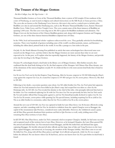# The Treasure of the Mogao Grottoes

## Pui Kiu College, Lau, Sik Nga Lucina - 16

Thousand Buddha Grottoes or Caves of the Thousand Buddhas, form a system of 500 temples 25 km southeast of the center of Dunhuang, an oasis located at religious and cultural intersections on the Silk Road, in Gansu province, China. The caves also are known as the Dunhuang Caves; however, this term is also used as a united term to include other Buddhist cave sites in and around the Dunhuang area, such as the Western Thousand Buddha Caves, Eastern Thousand Buddha Caves, Yulin Caves, and Five Temple Caves. The caves contain some of the finest instances of Buddhist art spanning 1,000 years. The first caves were dug out in 366 AD as places for Buddhist meditation and adoration. The Mogao Caves are the best known of the Chinese Buddhist grottoes and, along with Longmen Grottoes and Yungang Grottoes, are one of the three famous historical Buddhist sculptural sites of China.

In the 1900s, local and transnational scholar-explorers rediscovered the caves. They gradually unlocked its breathtaking mysteries. There were hundreds of grottoes including some of the world's excellent portraits, statues, and literature including the oldest dated, printed book in the world. It was like a passage to a lost realm in the past.

On July 10, the North Minutes Evening Post published an article that some archeologists have discovered some new research on the Mogao Cave, and they believe that the Mogao Grottoes are more ancient than what we are now expected to be. In this post, we'll explain what has reportedly happened, the history of the Mogao Grottoes, and provide some tips for traveling to the Mogao Grottoes.

On June 09, archeologists found a dead body in the library cave of Mogao Grottoes. After further research, they confirmed that the dead body belong to Liu Xi, the final emperor of the Xiongnu-led Chinese Han Zhao dynasty, one of the dominions of the sixteen kingdoms on July 09. It is believed that it is the most ancient dead body that is found in the world.

Liu Xi was Liu Yao's son by his first Empress Yang Xianrong. After he became emperor in 318 AD following Jin Zhun's coup against the emperor Liu Can, he created her empress in 319 AD and gave Liu Xi crown prince. However, She died in 322 AD.

Following to her death, a succession question came about. Liu Xi's older brother Liu Yin, Liu Yao's prior heir apparent, whom Liu Yao had assumed to have been killed in Jin Zhun's coup, had escaped but was taken as a slave by the Heiniyuju tribe. In 323 AD, Liu Yin revealed his identity to the chief of the tribe, who promptly delivered him back to his father. Liu Yao considered replacing Liu Xi with Liu Yin since Liu Yin was previously his heir, but Liu Yin's uncle Bu Tai and another official Han Guang spoke against it, and Liu Yin himself personally declined to replace Liu Xi. Liu Yao let Liu Xi remain, crown prince while granting Liu Yin special honors, including requiring Liu Xi to yield to Liu Yin as an older brother in ceremonies, rather than for Liu Yin to yield to Liu Xi as the crown prince.

Around the new year of 329 AD, Liu Yao was captured in battle by Later Zhao forces. Liu Xi became effectively acting emperor, and after consulting with Liu Yin, he decided to withdraw from the capital Chang'an west to Shanggui, the capital of the mountainous Qin Province, considered more easily defensible. However, the withdrawal caused a panic, and all Han Zhao generals abandoned their positions and fled to Qin Province as well, easily yielding most of the remaining Han Zhao territory to Later Zhao.

In fall 329 AD, Han Zhao forces, under Liu Yin's command, tried to recapture Chang'an. Initially, he had some successes and recaptured much of the territory lost to Later Zhao. However, as he besieged Chang'an, the Later Zhao general Shi Hu arrived and defeated him. Liu Yin retreated toward Shanggui, and Shi Hu trailed him and defeated him again, capturing Shanggui. He forcibly relocated all other officials and the large clans of Qin and Yong Provinces to the Later Zhao capital Xiangguo, and massacred, in Luoyang, the members of the Xiongnu nobility. Han Zhao came to an end. He killed Liu Yin, along with all Han Zhao princes and high-level officials and generals, while Liu Xi was escaped before the defeated. No one knows where Liu Xi had been, and no one knows how Liu Xi is just before its dead body is found.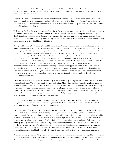Some believes that Liu Xi tried to escape to Mogao Grottoes but failed lead to his death. Nevertheless, some archeologist is believe that Liu Xi had successfully escape to Mogao Grottoes and spent a wonderful time there. But no one knows the truth and it is open to question.

Mogao Grottoes was known built in the period of the Sixteen Kingdoms. In the second year of Jianyuan of the Qin Dynasty, a monk passed by this mountain and suddenly saw the golden light shine, so he dug the first cave in the rock wall. Since then, Zen Masters have continued to build caves here for meditation. They are called "Mogao Caves", which means "high places in the desert."

Williston Ho Pak Kiu, the head archeologist of the Mogao Grottoes research team, believed that there is more secret that is waiting for them to find out. "Mogao Grottoes has a history of more than two thousand years. although we have already found many paintings and sculptures, we are sure that there are many new things are waiting for us for further research." Liu Xi is the first dead body found in Mogao Grottoes, it is believed that there will be more dead bodies being found, and more stories behind history will surface.

During the Northern Wei, Western Wei, and Northern Zhou Dynasties, the rulers believed in Buddhism, and the construction of grottoes was supported by princes and nobles and developed rapidly. During the Sui and Tang Dynasties, with the prosperity of the Silk Road, Mogao Grottoes flourished, and there were more than a thousand caves in Wu Zetian. After the Anshi Rebellion, Dunhuang was successively occupied by Tubo and Guiyi troops, but the sculpture activities were not greatly affected. The Mogao Grottoes during the Uighur period developed to the largest peak in history. The famous or clear and complete portraits and Buddhist sculptures are seen so far were restored and newly built during this period. In the Northern Song, Xixia, and Yuan dynasties, Mogao Grottoes gradually declined, and only the former dynasty caves were rebuilt, with very few newly built caves. After the Yuan Dynasty, along with the abandonment of the Silk Road, the construction of Mogao Grottoes was stopped and gradually disappeared from the world's sight. It wasn't until forty years after Emperor Kangxi of the Qing Dynasty that people noticed this place again. However, in modern times, the Mogao Grottoes have suffered many man-made damages, a large number of cultural relics have been lost, and their integrity has been severely damaged. In modern times, people usually call it the "Thousand-Buddha Cave".

There are 735 caves from the Northern Wei Dynasty to the Yuan Dynasty at Mogao Grottoes, which are divided into north and south areas. The southern part is the main body of the Mogao Grottoes. It is a place for monks to engage in religious activities. There are 487 caves, all with murals or statues. There are 248 caves in the north area, of which only 5 have frescoes or statues, while the others are places where monks practice, live, and bury them after death. There are tukang, stove Kang, flue, alcove, table lamp, and other living facilities. There are a total of 492 caves in the two districts with murals and statues, including 45,000 square meters of murals, 2,415 clay sculptures, 5 wooden cliffs in the Tang and Song Dynasties, and thousands of lotus pillars and floor tiles.

Dunhuang was established as a frontier garrison outpost by the Han Dynasty Emperor Wudi to protect against the Xiongnu in 111 BC. It also became an important gateway to the West, a center of commerce along the Silk Road, as well as a meeting place of various people and religions such as Buddhism.

The construction of the Mogao Caves near Dunhuang is generally taken to have begun sometime in the fourth century AD. According to a book written during the reign of Tang Empress Wu, Fokan Ji by Li Junxiu, a Buddhist monk named Lè Zūn had a vision of a thousand Buddhas bathed in golden light at the site in 366 AD, inspiring him to build a cave here. The story is also found in other sources, such as in inscriptions on a stele in cave 332; an earlier date of 353 however was given in another document, Shazhou Tujing. He was later joined by a second monk Faliang, and the site gradually grew, by the time of the Northern Liang a small community of monks had formed at the site. The caves initially served only as a place of meditation for hermit monks but developed to serve the monasteries that sprang up nearby. Members of the ruling family of Northern Wei and Northern Zhou constructed many caves here, and it flourished in the short-lived Sui Dynasty. By the Tang Dynasty, the number of caves had reached over a thousand.

By the Sui and Tang dynasties, Mogao Caves had become a place of worship and pilgrimage for the public. From the 4th until the 14th century, caves were constructed by monks to serve as shrines with funds from donors. These caves were elaborately painted, the cave paintings and architecture serving as aids to meditation, as visual representations of the quest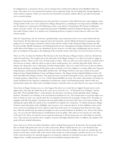for enlightenment, as mnemonic devices, and as teaching tools to inform those illiterate about Buddhist beliefs and stories. The major caves were sponsored by patrons such as important clergy, the local ruling elite, foreign dignitaries, as well as Chinese emperors. Other caves may have been funded by merchants, military officers, and other local people such as women's groups.

During the Tang Dynasty, Dunhuang became the main hub of commerce of the Silk Road and a major religious center. A large number of the caves were constructed at Mogao during this era, including the two large statues of Buddha at the site, the largest one constructed in 695 following an edict a year earlier by Tang Empress Wu Zetian to build giant statues across the country. The site escaped the persecution of Buddhists ordered by Emperor Wuzong in 845 as it was then under Tibetan control. As a frontier town, Dunhuang had been occupied at various times by other non-Han Chinese people.

After the Tang Dynasty, the site went into a gradual decline, and construction of new caves ceased entirely after the Yuan Dynasty. By then Islam had conquered much of Central Asia, and the Silk Road declined in importance when trading via sea-routes began to dominate Chinese trade with the outside world. During the Ming Dynasty, the Silk Road was finally officially abandoned, and Dunhuang slowly became depopulated and largely forgotten by the outside world. Most of the Mogao caves were abandoned; the site, however, was still a place of pilgrimage and was used as a place of worship by local people at the beginning of the twentieth century when there was renewed interest in the site.

There are 735 caves from the Northern Wei Dynasty to the Yuan Dynasty at Mogao Grottoes, which are divided into north and south areas. The southern part is the main body of the Mogao Grottoes. It is a place for monks to engage in religious activities. There are 487 caves, all with murals or statues. There are 248 caves in the north area, of which only 5 have frescoes or statues, while the others are places where monks practice, live, and bury them after death. There are tukang, stove Kang, flue, alcove, table lamp, and other living facilities. There are a total of 492 caves in the two districts with murals and statues, including 45,000 square meters of murals, 2,415 clay sculptures, 5 wooden cliffs in the Tang and Song Dynasties, and thousands of lotus pillars and floor tiles. The Mogao Grottoes scenic spot consists of two parts: Mogao Grottoes Digital Exhibition Center and Mogao Grottoes. The Mogao Grottoes Digital Exhibition Center will show short films about Mogao Grottoes. The grotto has been excavated for thousands of years, and it has a large number of murals, grottoes, cultural relics, etc. It is a world-famous Buddhist art resort. The artistic characteristics of Gaokuo are mainly manifested in the ingenious combination of architecture, statues, and Dunhuang murals, which vividly and harmoniously express the artistic styles of multiple dynasties. Currently, there are more than 40 caves open to the public.

I have been to Mogao Grottoes once, in a hot August. My advice is to watch the two digital-themed movies in the digital center, then take the shuttle bus in the scenic area to enter the cave. "A Thousand Years of Mogao" and the dome film "Dream Buddha Palace", both introduce the thousand-year history and the splendid culture of Mogao Grottoes. Thousand-year of history is all concentrated in hundreds of caves. The normal ticket is to provide eight caves, three of which are must-sees, and the other five are randomly selected by the tour guide. Groups of 20-30 people are equipped with full-time guides. Listening to the tour guide telling me the stories that I have never known before, and admiring the superb skills, the murals are too wonderful to be forgotten for a long time. To inherit and protect, Mogao Grottoes cannot take photos with a flashlight, and everyone is very conscious about it. In the exhibition center not far away, several cave paintings have been copied to make them look clearer. It is amazing to keep them for such a long time. After the normal tour, the instructor brought us to the souvenir bookstore in the library cave. Next to the Library cave, you can visit some historical pieces of information in the art gallery. Also, there are two special cave visits daily, 12:00 and 14:30. There are 8 special caves in total, the ticket price is 200 per person per cave. Each field can visit four caves. These special caves preserve more complete or special with higher historical value, in addition, the explainer will speak will more detailed information.

I have chosen cave 45 for my further destination, which is indeed better preserved. At that time, the tour guide told us that we should walk gently into each cave with a pious heart. When I walked into the cave, I was shocked at that moment, seeing the extremely exquisite murals on each wall the characters are lifelike, the colors are colorful, the soft posture of each statue, and the smile at the corners of the mouth are so faint and quiet, and there are the caves. The top of the is also decorated to be extremely gorgeous as if seeing the craftsman of a thousand years ago with the most religious heart, carefully portraying the holiest and most beautiful yearning in their heart.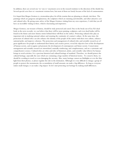In addition, there are several one-to-one re-enactment caves in the research institute to the direction of the shuttle bus. Several special caves have re-enactment versions here, but most of them are lonely because of the lack of commentators.

It is hoped that Mogao Grottoes is a tremendous place for all the tourists that are planning or already visit there. The paintings which are gorgeous and glamorous, the sculptures which are stunning and desirable, and other attractive cave and cultural relics. By giving some advice of the Mogao Grottoes visiting from my own experience, I wish that you all have an incredible visiting in there, which is fascinating and impressive.

Mogao Grottoes, our treasure of history, should be truly protected and cured. Due to the break out of Liu Xi's dead body in the news recently, we can believe that there will be more painting, sculptures, and even dead bodies will be found in the future and more history stories behind them will float on the surface. Protecting cultural relics play an important role in studying national culture and ensuring the continuity of a nation's culture. At the same time, the protection of cultural relics can also enhance the identity of the people of the nation with their own culture, enhance national pride, and improve cohesion. The protection and management of cultural relics and scientific research are of great significance for people to understand their history and creative power, reveal the objective laws of the development of human society, and recognize and promote the development of contemporary and future society. Conservation management and scientific research are interrelated, mutually reinforcing, and complementary, and are a systematic and comprehensive science. Cultural relics are relics and relics of historical, artistic, and scientific value leftover by human beings in social activities. It is a precious historical and cultural heritage of mankind. Therefore, we should protect the cultural heritage, especially the ones which are containing a large number of historical stories. To conserve them, we should be avoiding to touch or even damaging the ancestry. Also, many heritage cannot use flashlights or ever the blue light from their phones, so please regulate the rule in the destination. Although it is very difficult to change a group of people to protect the monuments, the accumulation of small amounts can make a big difference. As long as everyone makes small changes, it can make a big impact. So let's start protecting our heritage by making small differences.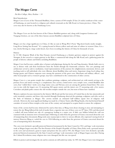# The Mogao Caves

## Pui Kiu College, Men, Ruihan  $-14$

## Brief Introduction

Mogao Caves (Caves of the Thousand Buddhas), form a system of 500 temples 25 km (16 miles) southeast of the center of Dunhuang, an oasis located at a religious and cultural crossroads on the Silk Road, in Gansu province, China. The caves may also be known as the Dunhuang Caves.

The Mogao Caves are the best known of the Chinese Buddhist grottoes and, along with Longmen Grottoes and Yungang Grottoes, are one of the three famous ancient Buddhist sculptural sites of China.

Mogao cave has a large significance to China, it's like an oasis in Wang Wei's Poem "Big desert lonely smoke straight, Long River Setting Sun Round." It's a spring located in blown yellow sand and ruins of culture in western China. It is a tear, slowly flowing in a large scaled desert, have been recording the history of China for thousands of years.

## History

In 111 BC, Emperor Wudi of the Han Dynasty erected Dunhuang as a frontier garrison outpost to protect against the Xiongnu. It also served as a major gateway to the West, a commercial hub along the Silk Road, and a gathering point for people of diverse cultures and beliefs, including Buddhism.

Mogao Caves had become a public place of prayer and pilgrimage during the Sui and Tang dynasties. Monks built caves to use as shrines with cash from benefactors from the fourth through the fourteenth centuries. The cave paintings and architecture served as aids to meditation, visual representations of the journey for enlightenment, mnemonic devices, and teaching tools to tell individuals who were illiterate about Buddhist ideas and stories. Important clergy, local ruling class, foreign guests, and Chinese emperors were among the sponsors of the great caves. Merchants and military officers , and other local people such as women's groups. may have contributed to the construction of other caverns.

Mogao Caves is a vast grotto temple that combines paintings, sculpture, and architectural art, with murals serving as the primary focus and statues serving as a complement. Zen caverns, central tower caves, temple caves, central Buddhist altar caves, four-walled three-niche caves, huge statue caves, and Nirvana caves are among the grottoes found there. The caves vary in size, with the largest cave 16 measuring 268 square meters and the tiniest cave 37 measuring only a few meters. Corridors and plank paths connect the old wooden temples outside the cave, but most of them have vanished.

Western explorers became interested in the historic Silk Road and the lost towns of Central Asia in the late nineteenth and early twentieth centuries, and those who traveled through Dunhuang observed the paintings, sculptures, and relics such as the Stele of Sulaiman at Mogao. The caverns include an estimated half-million square feet of religious wall artwork. However, the most significant finding was made by a Chinese Taoist called Wang Yuanlu, who had declared himself caretaker of several of these temples at the turn of the century and attempted to acquire funds to restore the sculptures.

Some of the caverns had become obstructed by sand at that time, so Wang went about cleaning it away and attempting to restore the site. Wang followed the trail of smoke from a cigarette into one of these caves on 25<sup>th</sup> June, 1900, and discovered a walled-off room behind one side of a passageway leading to a major cave. A little cave hidden behind the wall was crammed with an immense trove of manuscripts. Following an order from the governor of Gansu concerned about the cost of transporting these documents, Wang took some manuscripts to show to various officials, who expressed varying levels of interest. However, Wang re-sealed the cave in 1904 following an order from the governor of Gansu concerned about the cost of transporting these documents.

The caves were declared a specially protected historical monument by the State Council in 1961, and large-scale renovation work at Mogao began soon after. The first Premier of the People's Republic of China, Zhou Enlai, took a personal interest in the caves and sanctioned a grant to repair and protect the site; and in 1961, the Mogao Caves were declared a specially protected historical monument by the State Council, and large-scale renovation work at Mogao began soon after. During the Cultural Revolution, many religious sites were damaged, but this one was spared.

Efforts to protect and investigate the site and its contents are still underway today. In 1987, the Mogao Caves were designated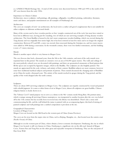as a UNESCO World Heritage Site. A total of 248 caverns were discovered between 1988 and 1995 to the north of the 487 caves known from the early 1900s.

## Importance to Chinese Culture

Architecture, stucco sculpture, wall paintings, silk paintings, calligraphy, woodblock printing, embroidery, literature, music and dance, and popular entertainment are all examples of Dunhuang's art.

## Architecture

The caves are examples of rock-cut architecture, the local rock is a rather soft gravel conglomerate that is not suitable for either sculpture or elaborate architectural details.

Many of the caverns used to have wooden porches or fore-temples constructed out of the rock, but most have rotted or been lost in different ways, leaving just five standing, two of which are rare surviving examples of Song dynasty wooden architecture. The Great Buddha is housed in the site's most conspicuous wooden building, which was erected during the Tang dynasty and was originally four stories high, but it has been restored at least five times and is no longer the original construction. Between 874 and 885, a story was erected, then renovated during the Guiyijun era, and two more storeys were added in 1898 during a renovation. In the twentieth century, there were two further restorations, and the building is now a 9-storey structure.

## Murals

Murals is another aspect which is very famous in Mogao Caves.

The cave frescoes date back a thousand years, from the 5th to the 14th centuries, and most of the early murals were repainted later in this period. The murals are extensive over an area of 46,000 square meters. The walls and ceilings of the most perfectly colored caves are decorated with paintings, and there are geometrical ornaments or floral patterns that fill the spaces not occupied by figurative images, which is the Buddha. The sculptures are also brightly painted. The murals are appreciated for the scale, richness, and artistry of their content. Buddhist subjects are most common, however some have traditional mythical subjects and portraits of patrons. These murals document the changing styles of Buddhist art in China for nearly a thousand years. The artistry of the murals reached its apogee during the Tang period, and the quality of the work dropped after the tenth century.

## Sculptures

There are about 2400 surviving sculptures in Mogao Caves. The sculptures are majorly constructed by wood and painted with colorful pigment. It is same as other forms of art in Mogao Caves, almost all sculptures are great buddha. Chinese religious history is clearly shown in it.

The "Library Cave's" initial purpose was to serve as a shrine to the 9th-century monk Hong Bian. His portrait statue, which is unique among all surviving Chinese masterpieces, was transported to another location after the cave was locked off in the 11th century but has recently been recovered since the library was demolished. There's also a stone stele commemorating his life, and the wall behind the statue is painted with an accompanying figure; this kind of mixing of painted sculpture and wall paintings into a unified composition is prevalent at the site.

Geographical Characteristics Location of Mogao Caves Mogao Caves are located on the Silk Road in the western part of China (Gansu Province).

The caves are far away form the major cities in China, such as Beijing, Shanghai, etc., that located near the eastern coast (Pacific Ocean) of China.

Although it is in the western part of China, where obtains a lower economic development. Dunhuang, the city in which Mogao Cave located, is still very famous in China. Dunhuang is a significant city on the silk road. Instead of Mogao Caves, Yumen Pass and Yang Pass are the other great and enjoyable viewpoint in Dunhuang. They are the end point of Han Great Wall.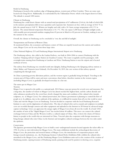## Relief in Dunhuang

Dunhuang is located at the northern edge of Qingzang plateau, western part of Hexi Corridor. There are some oasis located near Dang River. Additionally, it is surrounded by the Taklamakan Desert, which is the largest desert in China. The altitude is around 1200 meters.

## Climate in Dunhuang

Dunhuang has a mild desert climate with an annual total precipitation of 67 millimeters (2.64 in), the bulk of which falls in the summer; precipitation falls in trace quantities and evaporates fast. Summers are hot, with an average of 24.6 °C in July; the annual mean is 9.48 °C. Winters are lengthy and cold, with a 24-hour average temperature of 8.3 °C in January. The annual diurnal temperature fluctuation is 16.1 °C. The city enjoys 3,258 hours of bright sunlight yearly, with monthly percent potential sunshine ranging from 69 percent in March to 82 percent in October, making it one of the sunniest in the country.

Overall, the climate in Dunhuang can be concluded as 'very dry and full of sunlight'.

## Transportation and Tourism in Western China

As mentioned before, the economics and business centers of China are majorly located near the eastern and southern coast, Mogao Caves are far away from those large cities.

China National Highway 215 and Dunhuang Mogao International Airport serve Dunhuang.

The Dunhuang railway, also called as the Liudun Railway, was built in 2004–2006 to connect Dunhuang with the Lanzhou-Xinjiang railway's Liugou Station (in Guazhou County). The route is regularly used by passengers, with overnight trains running from Dunhuang to Lanzhou and Xi'an. Dunhuang Station is near the airport and is located northeast of town.

The railway from Dunhuang was extended south into Qinghai, linking Dunhuang to the Qingzang railway stations at Subei, Mahai, and Yinmaxia (near Golmud). On December 18, 2019, the core section of this railway opened, completing the through route.

As China is pursuing poverty alleviation policies, and the western region is gradually being developed. Traveling to the western part of China will be easier and more convenience than before, therefore tourism in the western region (including Mogao Caves) as gradually developed nowadays in a fast rate.

## The status quo in Mogao Cave

## Tourism

Mogao Cave is opened to the public as a national park. 200 Chinese yuan per person for several caves and museums. For a long time, the number of visitors to Mogao Caves has almost reached the highest limit, and the carbon dioxide and other substances produced by the crowd have slowly changed the status and condition of the cultural relics (murals, sculptures, etc. in Mogao Caves). For cultural preservation, the Chinese government is planning to control the flow of people in it. In addition, due to the outbreak of the epidemic, it is difficult for tourists from all over the world to enter China and visit the Mogao Caves in Dunhuang. Tencent decided to cooperate with the local Dunhuang Research Institute to carry out the digitization of cultural relics. The data of cultural relics such as murals and sculptures in multiple caves are recorded through cameras and other equipment and uploaded to the Internet in 3D format by advanced image capture technology. Users can appreciate the unique sights of Mogao Caves from all over the world. As of mid-2021, the number of users of the "digital Mogao Caves" has reached about 40 million. This move can connect the cultural exchanges between China and the Western world as a cultural output of China. Also, it shows the charm of Chinese history to people in the world who are interested in China. Tencent's plan also cooperates with foreign museums to bring foreign cultural relics into China via the Internet and strengthen cultural exchanges between the two sides under the epidemic.

## Conservation

The Japanese government help Mogao Caves to build a semi-underground museum located opposite the ticket office in 1992. It is free to visit with tickets for Mogao Caves. The main exhibitions include the archaeological discoveries of Mogao Caves, the protection and research history of Mogao Caves, the introduction of cooperation projects with foreign research institutions, etc., the Dunhuang Grottoes Cultural Relics Exhibition Hall, exhibits the cultural relics unearthed in the Mogao Caves, and the Dunhuang Mogao Caves Exhibition units such as the creation of the creation of Dunhuang murals, copying treasures of Dunhuang murals, painting tools used by painters in drawing caves, exquisite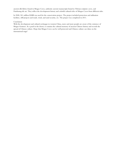ancient silk fabrics found in Mogao Caves, authentic ancient manuscripts found in Tibetan scripture caves, and Dunhuang tile art. They reflect the development history and colorful cultural relics of Mogao Caves from different sides.

In 2008, 261 million RMB was used for the conservation project. The project included protection and utilization facilities, cliff projects and roads, wind, and sand security, etc. The project was completed in 2011.

## Conclusion

With the development and cultural exchanges in western China, more and more people are aware of the existence of Mogao Grottoes. As a pearl in the desert, it contains the cultural memory of ancient Chinese history and records the spread of Chinese culture. Hope that Mogao Caves can be well protected and Chinese culture can shine on the international stage!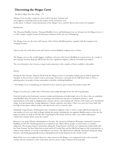## Discovering the Mogao Caves

## Pui Kiu College, Sin, Hei Ching - 15

"Mogao Caves was like a tunnel to a lost world in the past."Scholars said. You might be wondering what are the features of the mysterious caves, in this article, I will give a brief introduction of the Mogao Caves, and let's discover the secrets of it together.

#### Introduction

The Thousand Buddha Grottoes, Thousand Buddha Caves, and Dunhuang Caves are all names for the Mogao Caves. It is a 500-temple complex located 25 kilometers southeast of the city core of Dunhuang.

The Mogao Caves are the most well-known of the Chinese Buddhist grottoes, together with the Longmen and Yungang Grottoes.

They are also one of the three most well-known ancient Buddhist sculpture sites in China.

The Mogao caves are the world's biggest, wealthiest, and most well-known Buddhist art treasure house. As a result of their strategic location along the Silk Road, they have significant religious, cultural, and intellectual impacts.

The caves themselves have become a major tourist attraction, with a number of them available to the public.

#### History

During the Han Dynasty, Emperor Wudi built the Mogao caverns as a boundary military post to defend against the Xiongnu. It also served as a major western entry point. It became a crossroads for the Silk Road trade as well as a gathering place for people of many nationalities and faiths, including Buddhism.

-The Mogao Caves in Dunhuang are estimated to have started to grow around the fourth century AD.

Mogao Caves became a public place of devotion and worship throughout the Sui and Tang dynasties.

From the fourth to the fourteenth centuries, monks used donations to build temple caves. For those who are unfamiliar with Buddhist ideas and stories, the cave paintings and architecture function as meditation assistance, visual representations of the path to enlightenment, memory devices, and teaching aids. Donors of the major caves included the clergy, local governing elite, foreign dignitaries, Chinese emperors, and others. Other caves may have been built with the help of merchants, military leaders, and other locals, such as women's clubs.

During the Tang Dynasty, Dunhuang became a prominent religious center as well as a major Silk Road trade hub. A vast number of caves were built at Mogao during this period, including the two gigantic Buddha statues on the site, the largest of which was built in 695 AD after Tang Empress Wu Zetian issued an edict a year earlier ordering the construction of giant statues across the country.

Because it was under Tibetan administration at the time, the site survived Emperor Wuzong's command to persecute Buddhists in 845 AD. Dunhuang had been occupied by non-Han Chinese people at various times as a frontier settlement. The location began to deteriorate during the Tang Dynasty, and fresh cave construction ended totally after the Yuan Dynasty. By then, Islam had overrun much of Central Asia, and the Silk Road began to fade in prominence as Chinese trade with the rest of the world shifted to sea routes. The Silk Road was officially abandoned during the Ming Dynasty, and Dunhuang gradually became depopulated and mostly forgotten by the outside world.

Most of the caves were neglected. However, when interest in the Mogao caves reappeared in the early twentieth century, the site remained a center of devotion and was used as a place of prayer by local people.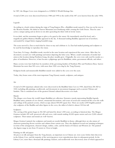In 1987, the Mogao Caves were designated as a UNESCO World Heritage Site.

A total of 248 caves were discovered between 1988 and 1995 to the north of the 487 caves known from the early 1900s.

#### Legends

According to a book written during the reign of Tang Empress Wu, a Buddhist monk named Le Zun was on his way to the Western Paradise. He halted at Sanwei Mountain near Dunhuang while crossing the Gobi Desert. Then he came across a unique spring and sat down to rest after quenching his thirst with its lovely waters.

It was dusk, and the mountains began to glow as he gazed at the sunset. He immediately raised his head, and a magnificent golden Maitreya Buddha appeared in the sky. A thousand smiling Buddhas appeared out of nowhere, surrounded by winged fairies singing beautiful songs.

The scene moved Le Zun so much that he chose to stay and celebrate it. Le Zun had studied painting and sculpture so he used his knowledge to reproduce his vision.

Years later, Fa Liang, a Buddhist monk, traveled at the same location and experienced the same vision. After that, he decorated a second cave with paintings and statues depicting the holy scene. When a small community of monks had arisen at the location during Northern Liang, the place steadily grew. Originally, the caves were only used by monks as a place of meditation. However, it later became a pilgrimage spot for Buddhists, artists, government officials, and others.

Many caverns were later built here by members of the governing families of Northern Wei and Northern Zhou. Sanwei Mountain has more than 500 caves, with more than 1000 caves dug by the Tang Dynasty.

Religious books and innumerable Buddhist murals were added to the caves over the years.

Today, they house some of the most important Tang Dynasty murals, sculptures, and antiques.

#### Art

A total of 4,500 important cultural relics were discovered in the Buddhist Sutra Cave in 1900, dated from 256 AD to 1002, including silk paintings, needlework, and documents in uncommon languages such as ancient Tibetan and Sanskrit. This is considered one of the greatest Oriental cultural discoveries ever made.

#### Murals

The Mogao caves house the world's largest Buddhist art collection. Extensive murals representing Buddha legends, Buddhist sutras, portraits of cave donors, ornamental decorations, and scenes of social and commercial life cover the walls and ceilings of the painted caverns, which occupy almost 500,000 square feet. There are nearly 2,000 brightly painted clay sculptures of the Buddha and other figures in the caves, the tallest of which is almost 100 feet tall.

#### Sculptures

The carving of the grotto began in 366 AD and lasted for about 1,000 years, according to historical data. The Mogao Grottoes include 492 well-preserved cells and caves, with murals totaling 45,000 square meters and over 2,000 colored sculptures. Their statues and murals are well-known.

Mogao Grottoes' painted clay sculptures and murals are mostly Buddhist in theme, although there are also statues of characters portraying diverse societies and cultures from various eras. They also displayed several eras' painting techniques in terms of the arrangement, character design, outline, color, and the fusion of Chinese and Western art. The painted clay figures range in size from 33 meters to 10cm in height.

## Painting on silk and papers

Art pieces on silk and paper from the Tang dynasty, an important era in Chinese art, were scarce before their discovery in the Library Cave, and the majority of the surviving pieces were reproductions done in subsequent periods. In the Library Cave, more than a thousand silk paintings, banners, and needlework were discovered, none of which appeared to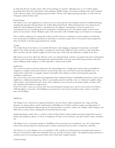be older than the late seventh century. Most of the paintings are nameless, although many are of excellent quality, particularly those from the Tang dynasty. Sutra paintings, Buddha images, and narrative paintings make up the majority of the collection. Many of the paintings represent Indian, Tibetan, and Uighur painting techniques, as well as the city Chang'an's modern Chinese style.

## Printed Images

The Library Cave is also significant as a reference for rare ancient pictures and writings created by woodblock printing, including the legendary Diamond Sutra, the world's oldest printed book. Other printed pictures were prepared to be displayed, with meditations and often a commitment by the religious commissioner; at least two prints were commissioned by Cao Yuanzhong, Royal Commissioner at Dunhuang in 947. The printed outline of many of the photos has been hand-colored. Multiple copies of the same block with a Buddha image can be found on several pages.

These could be equipment for cutting when sold to travelers, however, markings on certain samples reveal that they were also produced at different periods by an individual as a devotion to gain merit. It's uncertain if those people had their own blocks or had the images produced at a temple.

## Textiles

The textiles found in the Library Cave include silk banners, altar hangings, wrappings for manuscripts, and monks' apparel. The monks normally used fabrics consisting of a patchwork of different scraps of cloth as a sign of humility; these, therefore, provide valuable insights into the various type of silk cloth and embroidery available at the time.

Silk banners were used to adorn the cliff-face at the caves during festivals, and these are painted and maybe embroidered. Valances used to decorate altars and temples had a horizontal stripe at the top, from which hung streamers made from strips of different cloths ending in a V that looked like a modern male necktie.

## Architecture

The caverns are instances of stone architecture; the surrounding rock is a fragile gravel mixture that is unsuitable for sculptures or complex architectural elements. Several of the older caves were based on previous Buddhist rock-cut chaitya forms, which had a rectangular-shaped central pillar with sculptures in holes representing the stupa that worshipers could receive.

The rest are hall caverns with architectural inspirations from traditional Chinese and Buddhist monasteries. Such caverns might have a collapsed pyramidal top, which is occasionally painted to look like a tent, or a flattened or gabled ceiling, which mimics conventional structures. Some of the meditation caves are based on the Indian temple cave plan, with side-chambers that barely fit a single person.

From 874 to 885, a storey was erected, then renovated during the Guiyijun time, and two more storeys were built in 1898 throughout a renovation. The building was restored twice more in the twentieth century, and it is currently a nine-story building.

## Significance

The Mogao Caves, which bear exceptional bystander to ancient China's cultures during the Sui, Tang, and Song dynasties, are strong evidence of the transformation of Buddhist art in China's northwest region, providing plenty of lively materials that illustrate different aspects of medieval politics, economics, culture, arts, religion, ethnic relations, and daily dress in western China, making them of unrivaled historical value.

Dunhuang's distinct artistic style is a result of a fusion of Han Chinese artistic tradition and styles adopted from ancient Indian and Gandharan cultures, as well as an integration of Turks, ancient Tibetans, and other Chinese ethnic minorities' arts.

The Mogao Caves, an amazing example of a Buddhist rock art sanctuary, have symbolized a one-of-a-kind artistic achievement and have played an important part in artistic interactions between China, Central Asia, and India.

The Library Cave at the Mogao Caves was founded in 1990, and the tens of thousands of manuscripts and treasures it held were deemed the world's most remarkable discovery of medieval eastern culture. This significant legacy provides an excellent source for researching ancient China's and Central Asia's complex histories.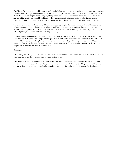The Mogao Grottoes exhibit a wide range of art forms, including building, painting, and statues. Mogao's caves represent a singular artistic triumph, both in terms of the organization of space into 492 caves on five levels and the fabrication of almost 2,000 painted sculptures and nearly 45,000 square meters of murals, many of which are classics of Chinese art. Ancient Chinese artists developed Buddhist artworks with significant local characteristics by adopting the artistic traditions of China's central and western areas and absorbing the qualities of art pieces from India, Greece, and Iran.

These pieces of art are priceless artifacts of human civilization, giving invaluable data for research into China's ancient politics, economy, culture, religion, ethnic relations, and foreign interactions. In addition, there are approximately 50,000 scriptures, papers, paintings, and weavings recorded in various dialects covering the Three Kingdoms Period (AD 220-280) through the Northern Song Dynasty (690-1127).

One of the oldest and most vivid representations of cultural exchanges along the Silk Road can be seen in Sui Dynasty Cave 302, which depicts a camel carrying a carriage typical of trade expeditions of the time. Farmers in the fields and a line of soldiers are shown in Tang Dynasty caves 23 and 156, correspondingly. The magnificent scenery of Wutai Mountain, Cave 61 of the Song Dynasty, is an early example of creative Chinese mapping. Mountains, rivers, cities, temples, roads, and caravans were all featured in it.

## Conclusion

After reading this article, I hope you will all have a better understanding of the Mogao caves. You can also take a visit to the Mogao caves and discover the secrets of the mysterious caves.

The Mogao caves are outstanding human achievements, but their conservation is an ongoing challenge due to natural threats and human endeavors. Climate change, tourism, and pollution are all threats to the Mogao caverns. To ensure the survival of these priceless sites, new technologies and ways for preserving and recording them must be developed.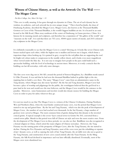# Witness of Chinese History, as well as the Artwork On The Wall -The Mogao Caves

Pui Kiu College, Sze, Man Chi Gigi - 15

"This cave is really amazing. It has gone through ten dynasties in China. The art of each dynasty has its wisdom, its aesthetics, and each artwork has its own unique image. " This is howFan Jinshi, the dean of Dunhuang Academy, described the Mogao Caves. Mogao Caves, also known as the Thousand Buddha Grottoes or Caves of the Thousand Buddhas, is the world's biggest buddhist art site. It is located in an oasis located at the Silk Road, 25km away southeast of the center of Dunhuang, in Gansu province, China. It is famous for its stunning murals and sculptures, and therefore has a reputation of "Art gallery of the world" and "museum on the wall". It is said that there are 753 caves, 45000 square metres of murals, and 2415 coloured clay sculptures in the Mogao Caves.

It is definitely reasonable to say that the Mogao Caves is a mind-blowing art. It looks like seven Chinese style houses stacked upon each other, while the highest one is smallest and lowest one is largest, which forms a trapezium shape when looking up. It is painted in grey, except for the red pillars that are supporting the roof. Its bright red colour makes it conspicuous in the muddy yellow desert, and it looks even more magnificent when viewed under the blue sky. It is not easy to imagine how people in the past could build such a spectacular building, with the level of technology in ancient times. Moreover, it is truly a miracle that the building can last till nowadays, with only some damages.

The first caves were dug out in 366 AD, around the period of Sixteen Kingdoms, by a Buddhist monk named Lè Zūn (Yuezun). It was said that he had seen the thousand Buddhas bathed in golden light at the site, inspiring him to build a cave there. The name "Mogao Caves" came from an administrative name in the Tang dynasty, where Mogao may also mean "peerless". By the Sui and Tang dynasties, Mogao Caves had become a place of worship and pilgrimage for the public, the worshippers believed that the god lived in a pure land in far west and would save the true believers, and the Mogao Caves would be the entrance to the paradise. Moreover, some businessmen and travelers would also donate money for building the Mogao Caves in order to pray for safety wherever they go.

It is not too much to say that The Mogao Caves is a witness of the Chinese Civilization. During Northern Wei and Northern Zhou, when the royal family constructed many caves, was the period that Mogao Caves started to rise up and gained fame. By the Sui and Tang Dynasty, which was also the peak of development of Mogao Caves, the number of caves had reached over thousands. In the Sui Dynasty, a large number of grottoes were carved at Mogao. The most common form of grotto dating from this dynasty is the inverted conical grotto. A typical example is the seven-layer conical tower in Grotto No 303, converted from a central tower pillar. Murals in this period were full of Chinese art style and were the most creative ones. From the development of The Mogao Caves in these periods, we can also see that Buddhism was also recognized as a formal religion in China, which setted the main religion of Chinese nowadays. However, the Tang Dynasty was the turning point of the prosperity of Mogao Caves, after the Tang Dynasty, the site started to decline. During the Five Dynasties and Song Dynasties, most of the caves were just the rebuilding or repaints of pre-dynasty caves, as well as copying the style of late Tang Dynasty, the art skills were also not as good as the Tang Dynasty, and construction of new caves ceased entirely after the Yuan Dynasty. In the Ming Dynasty, the Silk Road declined in importance and was later officially abandoned. Eventually, most of the Mogao caves were abandoned too.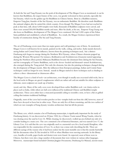As both the Sui and Tang Dynasty was the peak of development of The Mogao Caves as mentioned, it can be known that Buddhism, the major feature of the caves, was greatly welcomed in these periods, especially the Sui Dynasty, which was the golden age for Buddhism in Chinese history. Born in a Buddhist nunnery, Emperor Yang Jian, founder of the Sui Dynasty, was an enthusiastic Buddhist. He therefore made Buddhism the national religion after he united the whole country. Even though The Mogao Caves had not reached its peak at that time, still, about 5,000 temples were built, thousands of Buddhist sculptures were carved, and there were around 500,000 Buddhist monks and nuns. After his death, as his son, Emperor Yang Guang was also keen on Buddhism, development of The Mogao Caves continued. He had 1,000 copies of the Fahua Sutra published and established a school of Buddhism. As a result, the Mogao Grottoes experienced their heyday of construction during The Sui and Tang Dynasty.

The art of Dunhuang covers more than ten major genres and wall painting is one of them. As mentioned, Mogao Caves is well known for its murals, painted on the walls, ceiling, and niches. Early murals showed a strong Indian and Central Asian influence, known from the painting techniques used, but a distinct Dunhuang style began to emerge during the Northern Wei Dynasty, where Chinese elements popped up during the Western Wei period. For instance, Bodhisattvas and Avalokitesvara (Guanyin) started appearing during the Northern Zhou period, Mahayana Buddhism became the dominant form during the Sui Dynasty, and the iconography of Tantric Buddhism, such as the eleven-headed and thousand-armed Avalokitesvara, also emerged during the Tang period. Not only the elements, but also the painting techniques changed during the development of Mogao murals. After the influences from European paintings, Indian and Central Asian techniques could no longer be seen. Instead, murals in Mogao started to show techniques such as shading to achieve a three-dimensional or chiaroscuro effect.

The Mogao Caves is a kind of rock-cut architecture, even though it usually uses excavated solid rocks, but as the local rocks in Mogao are gravel conglomerate which are rather soft and not suitable for either sculpture or elaborate, most sculptures are made up of timber,

wood, and clay. Many of the early caves were developed from earlier Buddhist rock-cut chaitya styles in places such as India, while others are hall caves influenced by traditional Chinese and Buddhist temple architecture. These caves either have a truncated pyramidal ceiling to resemble a tent, or have a flat or gabled ceiling that imitates traditional buildings.

Originally, most of the caves had wooden porches or fore-temples built out from the cliff, however, most of these have decayed or been lost in other ways. There are only five of them remaining, and the two earliest of which are rare examples of Song dynasty wooden architecture that last till the present.

The library cave, which contains a lot of Dunhuang manuscripts, is significantly important for the study of Dunhuang history. It was discovered on 25 June 1900, by a Chinese Taoist named Wang Yuanlu, when he was clearing away the sand in Cave 16. While cleaning, he discovered a walled up area behind one side of a corridor leading to a main cave. The cave contained a lot of historical literature, and was named Cave 17, the Library Cave. It is said that the cave was originally used as a memorial cave for a local monk Hongbian, who was responsible for the construction of Cave 16, as there was a stone stele describing his life. There are different sayings of the reasons why it had been sealed, but the most trustable one is that the monks hurriedly hid the documents when Xi Xia invaded in 1035 or when Muslims were moving eastwards. In the library cave, bundles of scrolls, paper books and shorter texts were found. As expected, most of them were in Chinese, but there were also a large number of documents that were written in various other languages. Moreover, manuscripts found included Christian Jingjiao Documents, Dunhuang Go Manual, ancient music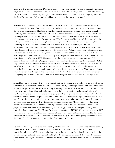scores as well as Chinese astronomy Dunhuang map. Not only manuscripts, but over a thousand paintings on silk, banners, and embroideries were also discovered in the cave. The paintings found included sutra paintings, images of Buddha, and narrative paintings, most of them related to Buddhism. The paintings, especially from the Tang Dynasty, are of a high quality and have been kept well throughout the decades.

However, as the library cave is so precious and full of historical value, it must attract some outlanders to explore as well. During the late nineteenth century and early twentieth century, Western explorers began to show interest in the ancient Silk Road and the lost cities of Central Asia, and those who passed through Dunhuang noted the murals, sculptures, and artifacts in the library cave. In 1907, British archaeologist Aurel Stein negotiated with Wang Yuanlu, to allow him to take some of the manuscripts as well as the finest paintings and textiles, in exchange for a donation to Wang's restoration effort. He ended up using  $\zeta$ 130 in exchange for 7,000 complete manuscripts and 6,000 fragments, which is actually a very low price, the Dunhuang relics are a lot more valuable than that. Losses of relics had continued, in 1908, French archaeologist Paul Pelliot acquired around 10000 documents in exchange for  $\mathcal{L}$ ,90, which was even a lower price. Scholars in Beijing, after seeing samples of the documents in Pelliot's possession as well as the interests from other countries on the Dunhuang relics, finally became aware of their value. Concerned that the remaining manuscripts might be lost or taken away, the Qing government appointed He Yanshen to send the remaining relics to Beijing in 1909. However, not all the remaining manuscripts were taken to Beijing, as some of them were hidden by Wang and He, and some were then stolen, as said by the local people. At last, only 8757 out of around 50000 historical relics were sent to Beijing, which is less than 20% for sure. In 1911 and 1914, some historical relics were sold to a Japanese named Otani Kozui in 1911 and a Russian named Sergei F. Oldenburg, only a very small amount of relics in the library caves were left. After losses of valuable relics, there were also damages to the library cave. From 1924 to 1939, some of the caves and murals were damaged by White Russian soldiers, American explorer Langdon Warner, and by Kuomintang soldiers.

As the library cave was almost destroyed, and people noticed the importance of it,they started to work on the protection and conservation of the cave. In 1941, Zhang Daqian, a famous painter in China and a small team of assistants stayed for two and a half years to repair and copy the murals, which is also a main reason why the library cave can be kept till nowadays. Furthermore, in 1944, an institution, the Research Institute of Dunhuang Art ,was set up to protect and investigate, as well as doing some research on the site. In 1956, the first Premier of the People's Republic of China, Zhou Enlai, allocated funds to repair and look after the cave out of personal interest. In 1961, the Mogao Caves were announced to be a protected historical monument, and large-scale renovation work at Mogao started around that year too. Moreover, in 1984, Research Institute of Dunhuang Art became the Dunhuang Academy, with technological support, a Sand control project was launched, and they actively used digital technology and other technologies to strengthen protection. Last but not least, The Mogao Caves became one of the UNESCO World Heritage Sites in 1987. For tourism use nowadays, of the massive number of caves, only twenty of them were opened to the public. Entrance is strictly controlled as it's impossible to visit them independently. Photography is prohibited inside the caves. The Chinese Government takes a lot of protection on the caves.

To sum up, The Mogao Caves is a world heritage site that was built in 366 AD. It is famous for its stunning murals and art works as well as the spectacular architecture. It cannot be denied that it fully reflects the historical development of Chinese art and religion over a thousand years. Even though it has experienced rise and fall, damages and protections, it is still well kept in the 21th century. I sincerely hope that the fame and prosperity of The Mogao Caves can continue in the future, and its protection work can be done better and better.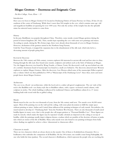## $Mogao Grottoes - Enormous and Enigmatic Cave$

#### Pui Kiu College, Yuen, Elson - 15

#### Introduction

Have you ever been to Mogao Grottoes? It's located in Dunhuang District of Gansu Province in China, 25 km (16 mi) southeast of the center of Dunhuang. While there's more than 500 temples in the cave, which contains some age-old and magnificent buddhist art spanning for over 1000 years. Not only the archaic of the temples but also the splendid statue has attracted many tourists to come from.

#### History

In the past, Buddhissm was popular throughout China. Therefore, some monks created Mogao grottoes during the period of sixteen kingdoms (AC 366). Then, monks kept expanding the cave with some new paintings and statues. According to annals, during the Wu Zetian reign, there were already about thousands of caves in Mogao Grottoes. However, declination of the grottoes started in the Northern Song Dynasty.

Until the Yuan Dynasty, it stopped the expansion due to the abandonment of the silk road, which also led to a decreasing amount of people going there.

#### Revival & Discovery

Between the 19th century and 20th century, western explorers felt interested in ancient silk road and lost cities in china. Passing through the silk road, they found some murals, sculptures and artifacts such as the Stele of Sulaiman at Mogao. Yet, the biggest discovery was found by Wang Yuanlu, a Chinese Taoist. He discovered a wall-up area behind one side of a corridor. Enormous hoard of manuscripts was found in a small cave behind it. The discovery attracted more Western explorers to explore Mogao Grottoes. After the discovery, Luo Zhenyu edited some of the manuscripts Pelliot acquired into a volume which was then published in 1909 as "Manuscripts of the Dunhuang Caves". Since then, more and more people know about Mogao Grottoes.

#### Architecture

The cave is in a Rock-cut architecture, while the local rock is a rather soft gravel conglomerate. The cut-style of the rock is the Buddhist rock-cut chaitya style due to Buddhist culture, with a square-sectioned central column, with sculpture in niches. The whole building is influenced by traditional Chinese and buddhism culture.It is a 9-storey building built with wood with flat or gabled ceiling.

#### Murals

Murals stayed in the cave for over thousands of years, from the 5th century until now. The murals cover 46,000 meter square. Most of the painting was on the wall and the ceiling, with some plant decoration to fulfil the empty space without painting or statue. Indian and Central Asian influenced the painting techniques of early murals. Nevertheless, the mural started to develop it's "Dunhuang Style" from the Northern Wei Dynasty. There are also thousands of small seated buddha figures in many caves, that is why people also call mogao grottoes as 'Thousand Buddha Cave'. Those figures are made by stencils, which makes the figure may be repeated. Usually celestials are depicted on the ceiling or on top of buddha, while the paintings usually depict religious themes, avadana which are parables of the doctrine of karma or jataka tales which are stories of the life of Buddha. Many early murals were also found to use painting techniques from India where shading was applied to achieve a three-dimensional or chiaroscuro effect.

## Characters in murals

There are two characters which are always shown in the murals. One of them is Avalokiteśvara (Guanyin). He is a bodhisattva who embodies the compassion of all Buddhas. He has 108 avatars; one notable avatar being Padmapāṇi, the one who holds the lotus (padma). The second character is Bodhisattvas, which represent the people who are reaching the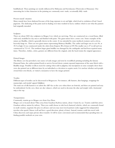buddhahood. These paintings are mostly influenced by Mahayana and Sravakayana (Theravada or Hinayana). One interesting fact is that characters in the painting are commonly semi-nude, occasionally fully-nude

#### Present murals' situation

Many murals have been darkened because of the long exposure to air and light, which lead to oxidation of lead-based pigments. The darkening of the paint used in shading over time resulted in heavy outlines which is not what the painters had originally intended.

#### Sculpture

There are about 2400 clay sculptures in Mogao Cave which are surviving. They are constructed on a wood frame, filled with reed, modelled in clay stucco and finished with paint. The giant statues have a stone core. Some examples of the statues are Buddha, which is generally shown in the center. It was attended by some mythical creatures such as devas, heavenly kings etc. There are two giant statues representing Maitreya Buddha. The earlier and larger one in cave 96, at 35.5 m high. It was constructed under the edicts from Empress Wu Zetian in 695.The smaller one is 27 m tall and was constructed in 713–41. The northern larger giant buddha was damaged by the earthquake and had been repaired many times. Therefore, clothes, colors, gestures are different from the original, only the head retains the original appearance.

## Printed Images

The library cave has provided a rare source of early images and texts by woodblock printing including the famous Diamond Sutra, the earliest printed book to survive.Several sheets contain repeated impressions of the same block with a Buddha image. Possibly it reflects stock for cutting when sold to pilgrims, but inscriptions in some examples show these were also printed out at different times by an individual as a devotion to acquire merit. It is unclear whether such people owned their own blocks, or visited a monastery to have the images printed.

#### Textiles

Different types of textiles can be discovered in Mogaocave. For instance, silk banners, altar hangings, wrappings for manuscripts, and monks' apparel (kāṣāya).

The main use of silk banners is to adorn the cliff-face at the cave when there are festivals, and these are painted and may be embroidered. In the cave, there are also valances ,which are used to decorate the altar and temple with a horizontal strip at the top.

#### Transportation

Commonly, tourists go to Mogao cave from Gua Zhou.

Mogao cave is located about 70km away from Guazhou Railway station, about 1 hours by car. Tourist could first arrive Guazhou railway station by railway. Then you could choose to ride local chartered vehicles, which are commonly found in small counties, negotiate the price in advance and you may meet travel partners (only suggested for independent travelers who speak Chinese well and have a good direction, plenty of time). Instead, tourists could also travel with China discovery and enjoy private direct transfer. It will be more convenient and recommended than spending time on finding possible methods on your own.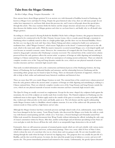# Tales from the Mogao Grottoes

## Pui Kiu College, Zhang, Yunqian Ozymandias - 16

Does anyone know about Mogao grottoes? It is an ancient cave with thousands of buddhas located in Dunhuang, also known as Mogao Caves and Qian Fo Dong. Despite the great historical value it has, there are still many people do not realize how important it is, and know little about this precious site, and I want to tell people about this special place through this article. This essay examines firstly the history and the unique structure and precious art of Mogao caves, then discusses the hidden stories of Mogao grottoes and what we can learn from it, and finally why we all should value Mogao grottoes.

According to a book named Li Kerang Rebuilt the Buddha's Niche Stele at Mogao Grottoes, this gorgeous historical site was started to be constructed in the Pre Qin-Dynasty, because Lezun, who is a monk, passed through a mountain in Dunhuang when it suddenly started to shine in a bright golden light, just like there was ten thousand Buddhas. Hence the first cave was dug in the rock wall. Since then, Master Faliang and others continued to build caves and practice meditation here, called "Mogao Grottoes", which means "high places in the desert". Constructed right next to the silk road, which is the main trade outlet. With the massive transactive occurred around Mogao cave, it developed rapidly and even became an essential economic center. However, the construction of it stopped after the Yuan Dynasty, and only started to drag people's attention after Dunhuang's economy recovered. The external form of the central tower column preserved from the early grottoes reflects the ancient artists' acceptance of foreign art while digesting and assimilating it, making it a Chinese national form, many of which are masterpieces of existing ancient architecture. There are relatively complete wooden eaves of the Tang and Song dynasties outside the caves, which are rare physical materials of ancient wooden structures and have extremely high research value.

That rarely recorded information such as the construction and historical process of the Dunhuang Grottoes, the long history of Dunhuang, the local influential families and surnames, and the relationship between Dunhuang and the surrounding ethnic groups may be found in Qian Fo Dong. There are thousands of portraits of supporters, which are able to help us find, realize and understand many historical conditions and historical clues.

There are more than 500 caves inside Mogao Grottoes in total. The external form of the central tower column preserved from the early grottoes reflects the ancient artists' acceptance of foreign art while digesting and assimilating it, making it a Chinese national form. There are relatively complete wooden eaves of the Tang Dynasty and Song Dynasty outside the caves, which are rare physical materials of ancient wooden structures and have extremely high research value.

The Qian Fo Dong are usually excavated on conglomerate. Except for the stone-shaped clay sculptures built against the mountains, the rest of the sculpture are mostly made from wooden frame. The Painted sculptures in Dunhuang uses the traditional mean in that region. Workers apply mud to the outside of the grass or wooden frame, press and polish. After that, workers put white powder on the mud, and finally, paint on it. The rich themes and the superb craftsmanship inside Mogao Grottoes make it a Buddhist colored sculpture museum. It is one of the earliest real-life portraits of the eminent monk in China and has a high history and art value.

Although the Mogao Grottoes had these extremely precious and high valued works of art, unfortunately, many of them have been damaged in the last century. Taoist Wang Yuanlu, who discovered the Mogao caves broke the walls in a rude way with fineness mural painting and left a whole on it. Years later, a French Sinologist and Orientalist named Paul Pelliot took around five thousand documents form Wang Yuanlu without informing the official, including the only copy of Lunyu's annotation written by Heyan. After that, another archaeologist and art historian specializing in East Asian art even used glue to stick the frescos off from the wall, which is an unrepairable huge destruction to the art itself.

Fortunately, there are still numerous amounts of remained grotto murals which are rich and colorful, with various stories of Buddhist scriptures, mountains and rivers, architectural paintings. There was a story called A Deer of Nine Colors, which is about the story of a merchant who was in a forest alone and was going to sink. He saw nine beautiful colors shining through the sands when his hope of survival was slipping away. The gorgeous deer was actually the past life of a Buddha, and the deer saved the person. In return, the deer asked the people keep its habitat as a secret, and never tell anyone else. The person immediately promised and returned to his country. Unfortunately, the greedy Queen dreamed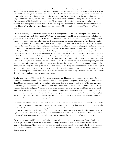of the deer with nine colors and wanted a cloak made of the deerskin. Hence the King made an announcement to every citizen that whoever caught the nine-colored deer would be rewarded with a big prize. The businessman gave in to his greed and led the King to the place where he saw the deer after knowing there will be a huge reward. Facing the King, the deer asked him how he knew its location. The King said it was the merchant who led the way. Feeling betrayed, the King heard the whole story about the deer of nine colors saving the man and him breaking the promise from the deer. The appearance of this despicable man let the King fell being ashamed. He exiled the merchant and asked everyone inside his country to protect this deer from then on. This story is a well-known tale till now. Parents tell this story to their children when others have helped them, they must be grateful, and condemn the shameful acts of perfidy and revenge.

The other interesting and educational story is recorded in ceiling of the No.454 cave. Once upon a time, there was a there was a cruel and greedy king named A Yu Wang. In order to make sure his power in this country, he built a big prison that is rare in the world to kill all those who share different views with him: the wall is high and strong, and the corner tower stands on the wall. The prison has all kinds of instruments, making it just as creepy as hell. After that, he found an evil peasant who killed his own parent to be in charge of it. The King told the person that he can kill anyone comes in the prison. One day, the wicked prison guard caught a monk, and put him in a huge pot with heated oil inside. However, no matter how the evil person heated the pot, he can not hurt the monk. Feeling it very strange, the prison guard angrily told the king about the monk. A Yu Wang was also surprised, so he went to the prison to see what happened. Nevertheless, the king was also caught by the prison guard, the king was confused and asked why. "You told me to kill every person come into this prison, and now you are here. So, I can kill you according to your word!" Facing the death threat, the King answered wisely. "When construction of the prison completed, you were the first person who comes in. Hence, you are the one who should be killed!" A Yu Wang's servant quickly controlled the prison guard and saved the King. After observing the chaos, the monk told the King that the leader of a country definitely influences the citizen, and that's why the prison guard dare to kill him. Finally, A Yu Wang took the monk's advice and became a great and glorious king. Since then, A Yu Wang has truly won the love and support of the people. The people in the country live and work in peace and contentment, and there are no criminals and rebels. Many other small countries have come to claim submission, and the county becomes even greater.

Despite Mogao grottoes' historical significance, there are other social importance which make it even crucial for us, Chinese to learn more about it. Ethnic identity is someone's feeling of belonging to a particular group. Knowing more about Mogao caves means people have more knowledge about their own history, which is one of the most important understandings of the individual as a coherent whole subject into a collection of various cultural identifiers. Since one of the main characteristics of people's identify is its "historical reservoir," historical heritages like Mogao caves can actually contribute to the bolster of the strength of our own cultural identity, which unites the citizen more by giving us the same history and feel more connections with others. Mogao grottoes are not only rare cultural relics from the past, but also became the current tight bound between each one of us. Hence, there is an extremely great necessity for us to study more about the hidden treasures<sup>--</sup> Mogao grottoes.

The good news is Mogao grottoes have now became one of the most famous tourists attractions here in China! With the super convenient online booking system, anyone can pay a visit to there any time they want without long queuing. The site also offers free documents about Mogao grottoes in its own theater. This attracted enormous amount of people to visit Mogao caves and realize the beauty of it. If you don't have the time to visit in person, then check out the advanced Digital Dunhuang. It is a website gives out a 3D view of all the caves with a clear and detailed introduction for each of them. So, if you want to understand more about the Mogao grottoes, there are all sorts of meths you can use.

Overall, the unknowns of Mogao caves still exist, and let us all do our best to learn more about them and enhance our knowledge. I truly hope that you will be interested in Mogao caves because there are still many valuable facts and attractive facts about the Mogao grottoes waiting for the public to discover, and we, as people who live in the present, should all know more about the cultural meaning of these historical sites which can enhance our ethnic identity of Chinese culture.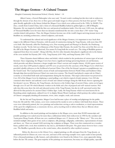## The Mogao Grottoes – A Cultural Treasure

### Shanghai Community International School, Chawla, Suhani - 16

Albert Camus, a French Philosopher who once said, "A man's work is nothing but this slow trek to rediscover, through the detours of art, those two or three great and simple images in whose presence his heart first opened." This is quite literally applicable to the history behind the Mogao Caves which were rediscovered in the 1900s. In 366AD, Yue Zun, a monk from Central China, had a vision of a thousand Buddhas bathed in golden light at a cliff of Mingsha Mountain. He was inspired to build the first cave and practiced meditation inside. Over the next 1,000 years, the upkeep of Thousand Buddha Caves for more than ten dynasties transformed the site into a more than 1,700-meter-long corridor dotted with grottoes. Thus, the Mogao Grottoes become one of the world's largest surviving treasure troves of Buddhist art, including architecture, colored sculptures, and murals.

To understand the cultural and social significance of the Mogao Grottoes, it is important to trace back their origin to the different Chinese Dynasties, with the peak of construction during the Tang Dynasty, with more than 200 caves built. Also famously called the Dunhuang caves, Dun meaning grand and Huang is to flourish, the Dunhuang Academy records, "In the 2nd year of Jianyuan of the Former Qin Dynasty, the monk Yue Zun carved the first cave on the cliff at the Mogao Grottoes. Afterward, Zen master Fa Liang built the second cave. The rising of Buddhist grottoes originated from these two monks". Along with Han, the few other dynasties that played a significant role in the history of the caves include Sui Dynasty (581-618), Tang Dynasty (618-906), and Song Dynasty (960-1279).

These Dynasties shared different values and beliefs, which resulted in the production of various types of art and literature. Since originating, the Mogao Caves have been a significant heritage preserving historic art and literature, which provides and allows historians a deeper insight into China's ancient and complex history. 45,000 square meters of murals, more than 2,000 painted sculptures and 492 caves are preserved in the sanctuary of the Mogao Caves which have provided valuable references to the livelihood of ancient China. One of the Sui dynasty's greatest accomplishments was the Grand Canal. The Canal provided a means of trade and transportation between North China and Southern China through ships that traveled between China's two main river systems. The Grand Canal played a major role in China's economy as it benefited both trade and transportation during the Sui dynasty. This major achievement was preserved in Cave 302 of the Mogao Caves by displaying a camel pulling a cart which is typical of trade missions. Cave 302 also contained other historic and authentic scenes of trade and cultural exchanges along the Silk Road, forever capturing the Sui dynasty's success. Whereas, the Tang Dynasty, also known as the Golden Ages of ancient China, carries on its legacy through caves 23 and 156 which illustrate workers in the fields and a line of prepared and well-trained warriors. Not only does this scene show the rich and educated society of the Tang Dynasty, but also its well-governed society that allowed for that period to be ancient China's Golden Ages. Lastly, the Song Dynasty which was most known for its flourishing artistic implications, utilized Cave 61 to display Mount Wutai's landscape which portrays the earliest examples of Chinese cartography detailing all mountains, rivers, cities, temples, roads, and caravans.

By the Sui and Tang dynasties, Mogao Caves had become a place of worship and pilgrimage for the public. From the 4th until the 14th century, caves were constructed by monks to serve as shrines with funds from donors. These caves were elaborately painted, the cave paintings and architecture serving as aids to meditation, as visual representations of the quest for enlightenment, as mnemonic devices, and as teaching tools to inform those that are illiterate about Buddhist beliefs and stories.

In addition to the mural paintings and inscriptions in the Mogao caves, more than 50,000 manuscripts and portable paintings were sealed away for more than a millennium before their rediscovery in 1900 by the caretaker and Taoist priest Wang Yuanlu, all from one cave, numbered Mogao cave 17, known as the "library cave." The caves also included multiple other genres of art, such as sculptures, silk paintings, calligraphy, embroidery, representations of music and dance, etc. There are around 2,400 surviving clay sculptures at Mogao. These were first constructed on a wooden frame, padded with a reed, then modeled in clay stucco, and finished with paint. The giant statues however have a stone core. The Buddha is generally shown as the central statue, often attended by other mythical creatures.

 Before the discovery in the Library Cave, original paintings on silk and paper from the Tang dynasty, an influential period in Chinese art, were very rare, and most of the surviving examples were copies made in later periods. Over a thousand paintings on silk, banners, and embroideries were found in the Library Cave, none apparently dating before the late 7th century. The great majority of the paintings are anonymous, but many are of high quality, especially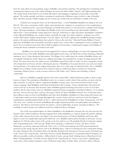from the Tang. Most are sutra paintings, images of Buddha, and narrative paintings. The paintings show something of the contemporary Chinese style of the capital Chang'an, but many also reflect Indian, Tibetan, and Uighur painting styles. The textiles found in the Library Cave include silk banners, altar hangings, wrappings for manuscripts, and monks' apparel. The monks normally used fabrics consisting of a patchwork of different scraps of cloth as a sign of humility; these, therefore, provide valuable insights into the various type of silk cloth and embroidery available at the time.

A distinct text among the many was the Diamond Sutra, "a sacred Mahāyāna Buddhist text dating to the year 868 CE. This copy is among the world's earliest extant printed texts, making it an essential piece of art contributing to the caves. Commissioned by a man named Wang Jie on behalf of his parents, it is the first known complete book bearing a date. The large frontispiece, which depicts the Buddha in Jeta Grove preaching to the elder disciple, Subhūti, is followed by a 'speech purifying' mantra (jing kouye zhenyan), dedications to eight vajra deities, Kumārajīva's translation of the influential Mahāyāna text, another mantra, and finally the single-line dated colophon—making it one of the world's oldest dated complete printed books, if not the earliest. The book's sophisticated woodblock printing on paper points to the mature publishing industry that existed in China at this early date" (Harvard Divinity Bulletin). Formal depictions of Buddhist sutras and parables intended to guide and to convert allow contemporary viewers to glimpse the power the art would have possessed when beheld by pilgrims and merchants, considering the dangers and hardships of crossing the desert wastelands on horseback and camel.

 Buddhism was actively practiced and supported by everyone visiting Mogao ever since the beginning of the first thousand years. From India, Buddhism spread throughout trade routes, the Silk Road, and the Dunhuang, ultimately making its way to China during the Han dynasty. The Mogao Caves visibly depict the artistry of Buddhist themes and iconography through the murals. Moreover, religious knowledge was transmitted by voyagers traveling along the Silk Road. The main reason how the earliest sources of Buddhism spread from India to China was due to peripatetic monks who transported sacred texts and relics, allowing the practice of Buddhism to be passed down for years and years despite the long distances. As evident in the original manuscripts, there was a wide range of cultural diversity. From a Buddhist pilgrim text recording a monk's journey from northern China to northeastern India to another rare manuscript containing a Hebrew prayer, a book of omens written in Old Turkic, and a Tibetan sutra including a Chinese commentary.

However, Buddhism originally formed in the sixth century BCE, within Northeastern India, in what is today known as Nepal. The assimilation of Buddhism took over a century to settle within China and this was done with the help of Daoism. To help the Chinese comprehend Buddhist concepts, ideas were borrowed from Daoism via the Chinese language. Both Buddhism and Daoism benefited from this exchange. Taoists expanded their ideas about the cosmos and ways to structure their monastic orders. Buddhists gained terminology that made it easier to teach their tradition. By the sixth century, however, Buddhism surpassed Daoism in popularity and political influence. It was during this time, and over the next three centuries, that major schools of Chinese Buddhism formed. Two schools that retain their influence today are Pure Land Buddhism and Chan (Zen) Buddhism. Buddhism in China along with Daoism and Confucianism underwent many changes throughout the country's history and was varied in its social and religious manifestations and philosophical beliefs. In the so-called classical period of Buddhism in China (Tang dynasty, 618–907 CE), there were a number of schools of Buddhism that taught and promoted their own philosophies and meditation practices. The Huayen and Tiantai schools, for instance, varied in philosophy, location, and political influence. The teachings of various schools were influenced and were adapted by Korea and Japan.

One of the most popular figures in Chinese Buddhism is the Bodhisattva Guanyin (the one who perceives the laments of the world–Guanshiyin). Having originated from Indian Buddhism as a superior being who aids the suffering of the world, Guanyin has become a key figure in the devotional practices of Chinese Buddhists and Daoists alike. Figures as such were significantly represented within the caves. Buddhist representation through art and music was also displayed. In 1940 the surface layers of the murals on the four walls in cave 220 gradually fell off, revealing the original early Tang paintings from 1,300 years ago. Within these paintings, a combination of music and dance in Sutra illustrations covered the south and north wall. There were over 500 musical groups and 4,500 musical instruments portrayed on the murals. Specific dances such as the Whirling dance, which was introduced to the central plains during the reign of Emperor Wu of Northern Zhou and officially included in the formation of Yanyue (music for formal feasts in the court) in the Tang Dynasty, with dancers known as Kang Whirling dancers. At important imperial banquets, ten different ensembles would each perform a different kind of music, among which whirling dancers will perform for the Music of Kang Kingdom. Ten kinds of music played in the Tang Dynasty are Yanyue (court music), Qingshangyue (court music of the southern dynasties), music of Western Liang, Music of India, Music of Goryeo, Music of Kucha,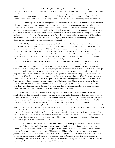Music of An Kingdom, Music of Shule Kingdom, Music of Kang Kingdom, and Music of Gaochang. Alongside the dances, music was an essential complimenting factor. Instruments used along these dances include the pipa, sheng, zheng, ruan, dizi, and various percussion instruments. Twenty-five scores for pipa players dating from the Tang dynasty were among tens of thousands of manuscripts discovered in the "Library Cave" in 1990. However, the knowledge of Dunhuang music is still limited, and there are only a few scholars dedicated to the task of deciphering ancient scores.

The Dunhuang caves give us deep insights into the rich history of Chinese culture and the development of the Silk Road. In 111 BC, the Four Commanderies along the Hexi Corridor (Gansu Corridor) were established by the Emperor Wu of Han, thus connecting Dunhuang with Chang'an (now Xian), the capital of the Han Dynasty. Dunhuang became an intersection of the Silk Road and the only route leading to the Han Empire. Dunhuang was the place where merchants, monks, missionaries, and adventurers from various countries set off to Chang'an, and envoys, armies, and caravans of the Han Dynasty traveled west. Gradually, the commercial exchanges between China and the Western regions, India, Persia, Rome, and other countries prospered. As an essential location to pass on route to Chang'an, Dunhuang headed for prosperity as the Silk Road thrived.

The Silk Road consisted of trade routes connecting China and the Far East with the Middle East and Europe. Established when the Han Dynasty in China officially opened trade with the West in 130 B.C., the Silk Road routes remained in use until 1453 A.D., when the Ottoman Empire boycotted trade with China and closed them. Han Emperor Wu sent imperial envoy Zhang Qian to make contact with cultures in Central Asia in 138 B.C., and his reports from his journeys conveyed valuable information about the people and lands that lay to the West. Although it's been nearly 600 years since the Silk Road has been used for international trade, the routes had a lasting impact on commerce, culture, and history that resonates even today. But the transport of goods and services along these routes dates back even further. The Royal Road, which connected Susa (in present-day Iran) more than 1,600 miles west to Sardis (near the Mediterranean Sea in modern Turkey), was established by the Persian ruler Darius I during the Achaemenid Empire some 300 years before the opening of the Silk Road. Trade along the Silk Road economic belt included fruits and vegetables, livestock, grain, leather and hides, tools, religious objects, artwork, precious stones and metals, and—perhaps more importantly—language, culture, religious beliefs, philosophy, and science. Commodities such as paper and gunpowder, both invented by the Chinese during the Han Dynasty, had obvious and lasting impacts on culture and history in the West. They were also among the most-traded items between the East and West. Paper was invented in China during the 3rd century B.C., and its use spread via the Silk Road, arriving first in Samarkand in around 700 A.D., before moving to Europe through the then-Islamic ports of Sicily and Spain. Of course, paper's arrival in Europe fostered significant industrial change, with the written word becoming a key form of mass communication for the first time. The eventual development of Gutenberg's printing press allowed for the mass production of books and, later, newspapers, which enabled a wider exchange of news and information (History).

Near the early twentieth century, Western explorers and scholars began displaying interest in the ancient Silk Road. Often traveling under harsh conditions, the explorers, scholars, and archaeologists of these expeditions sought to discover the ancient languages and cultures that once flourished in the region and to acquire collections for the empires that they represented. One of the most influential of these scholars was Marc Aurel Stein (1862–1943). In 1887, Stein traveled to India and took up the positions of Principal of the Oriental College, Lahore, and Registrar of Punjab University. From his base in Kashmir, he made four expeditions to northwest China. The Stein Collection in the British Museum includes the Asia department which holds archaeological findings from Xinjiang, as well as paintings, prints, and textiles from the Library Cave (Cave 17), Dunhuang. Taoist Wang Yuanlu who was credited for the prominent discovery of the library cave, held himself responsible for repairing artifacts. As Stein requested to take artifacts back to Britain, Wang Yuanlu traded the artifacts for funds that would help maintain the caves. In the end, Stein paid four silver ingots which allowed Yuanlu to preserve the caves successfully. Stories as such represent the constant and meaningful role that trade played in the history of these caves.

As these objects were dispersed in the early 20th century to other library and museum collections, the most prominent of which is the British Library, the National Museum of India, and the Pelliot collection in the Musée National des Arts Asiatiques-Guimet and Bibliothèque Nationale de France, the study of Dunhuang art and culture increased through encompassing both objects held in museum and library collections worldwide as well as mural paintings and sculptures located on-site in the cave shrines. Bringing these two bodies of material into conversation with one another enables a nuanced understanding to countries globally of Dunhuang as a religious and artistic center, focusing in particular on the Mogao caves. The caves, which some refer to as a portal to historic Chinese art, literature, and culture will continue to hold a significant place in Chinese history.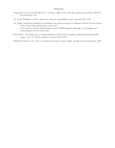### Bibliography

- "Dunhuang: A City on the Old Silk Road in Pictures." BBC, 4 Oct. 2015, bbc.com/news/in-pictures-34276009. Accessed 20 Jan. 2022.
- Foy, Geoff. "Buddhism in China." AsiaSociety, asiasociety.org/buddhism-china. Accessed 20 Jan. 2022.
- Liu, Yujing. "Inspired by Dunhuang Cave Paintings, New Musical Group Is on a Mission to Revive Ancient Chinese Tunes." South China Morning Post, 2 June 2018, www.scmp.com/culture/artsentertainment/article/2148903/inspired-dunhuang-cave-paintings-newmusical-group. Accessed 20 Jan. 2022.
- Read, Marcia. "The Mogao Caves as Cultural Embassies." Harvard Divinity Bulletin, bulletin.hds.harvard.edu/themogao-caves-as-cultural-embassies/. Accessed 20 Jan. 2022.

"Silk Road." History, 3 Nov. 2017, www.history.com/topics/ancient-middle-east/silk-road. Accessed 20 Jan. 2022.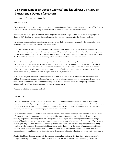# The Symbolism of the Mogao Grottoes' Hidden Library: The Past, the Present, and a Future of Academia

St. Joseph's College, Sit, Pok Shun Jaden  $-15$ 

## MOGAO GROTTOES

There is a meticulous irony to the etymology behind Mogao Grottoes. Despite being given the moniker of the "highest point in the desert", this overflowing fountain of heritage is locked away in the depths of a grotto.

Interestingly, due to the gradual shift in Chinese linguistics, the phrase 'Mogao' could also mean 'nothing higher' almost as if it's signaling towards the fact that human society will only plummet after the Grottoes' collapse.

The different iterations of names allude to the pinnacle of a secluded civilization concealed by the mirage of a desert  $$ yet its eventual collapse earned more fame than its zenith.

Originally a hermitage, the Grottoes were intended as a retreat from normality as a refuge. Housing enlightened individuals unrecognized in their contemporary era, it quickly grew to be representative of the cultural exchange across the Silk Road. Shortly after, it would again only appeal to pilgrims when sea trade became prevalent. Were the Grottoes also destined by its founders to fall in obscurity, only to be rediscovered when the time was ripe?

Perhaps it was the case, for we know the story did not end with Le Zun discovering the cave and founding his own hermitage in this remote sanctuary. It merely began, as more pilgrims would join the once-lonesome monk. This desert, a barren wasteland with little remnants of civilization, would give rise to the most perpetual fountains of knowledge. What drove this grotto to become the most renowned source of higher philosophy was the plethora of artworks and sacred texts flourishing within  $-$  records of a past, once forsaken, now reclaimed.

Poetic as the Mogao Grottoes are, as with all caves, it eventually fell into disrepair when the Silk Road fell out of fashion. Though the Grottoes were left desolate, the actions its inhabitants undertook to preserve their legacy was far from natural. The Library Cave, one of the key deposits of rich information, was sealed completely, and only rediscovered when Wang Yuanlu attempted to restore the sanctuary.

What more is hidden beneath the surface?

## THE TEXTS

The texts harbored knowledge beyond the scope of Buddhism, and beyond the medium of Chinese. The Hidden Library was undoubtedly among the first to coalesce knowledge without borders and creed, which modern academia fails to replicate to this day. The lesions of colonialist prejudice haunt us, the imprints of academics' affiliations befuddle our criticality, and the strings of institutions puppeteer malleable marionettes.

The Hidden Library could allow the mutual existence of conflicting schools of thought from all walks of life and vastly different religions with contrasting founding principles. The Mogao Grottoes showed us that intellectual pursuits are mutually cooperative. "Scientia potentia est." The power of knowledge is not in limiting our worldview to a single school of thought, but rather the comparison and synthesis of merits from cultures distinct from our own. That is to say, knowledge is only powerful when it is diverse and plentiful, for a skewed tale serves no purpose apart from isolating ourselves in echo chambers. Though secluded in the desert and locked away in the depths of a mountain, the Mogao Grottoes have surpassed limits of transportation and cultural exchange through the one goal of religious pursuit of wisdom. From Jewish philosophy, to Confucian poetry from central China, its collections showed diversity and nuance.

Despite this, Mogao Grottoes also reveals the mentality surrounding intellect at the time: Knowledge was not to be divulged with the public. Perhaps the enlightened wisdom was too unconventional for the contemporary barbaric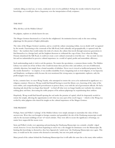warlords, falling on deaf ears, or worse, eradicated, were it to be published. Perhaps the monks wished to hoard such knowledge, as it would give them a hegemony over the interpretation of holy scriptures.

#### THE PAST

Why did they seal the Hidden Library?

No pilgrim, explorer or scholar knows for sure.

The Mogao Grottoes functioned as a Curia for the enlightened. An institution known only to the ones seeking pilgrimage for this pursuit of higher philosophy.

The value of the Mogao Grottoes' position, and as a result the culture emanating within, was no doubt well-recognized by the monks. Functioning as the crossroads of the Silk Road, both culturally and geographically, it captured only the  $f$  finest  $-$  the wayfarers that would endure the trials of a desert, the culture that travels through numerous generations to find themselves in a foreign land, and the brightest theorems to withstand the cogs of time. Even when the Ming Dynasty abandoned the Silk Road, it could not create a new cultural crossroads to rival this one  $-$  the sea trade was too fast and too industrialized to perceive cultural importance in a world of capital, profits and materialistic efficiency.

Such understanding made it vital to seal the grottoes. No matter the speculation, a common theme resides. The Hidden Library was sealed out of fear of those who would decimate these priceless relics and artifacts, not out of deliberated, scholarly objection, but simply from a brutal mentality of tribalism. Never was it viewed as intellectual property but by the monks themselves - to empires, it was needless instability if not a bargaining tool; to rival religions, it was hypocrisy and blasphemy, sacrilegious solely because the text mentioned the wrong name; to opportunistic explorers, only the profit margins were at stake.

In fact, centuries later, we meet Wang Yuanlu, who attempted to restore the caves as he understood its significance as a religious construct. However, Wong would find himself having to reseal the library cave, knowing of the value of the texts within, and comprehending his powerlessness to protect them, even with the aid of government officials. He had a daunting task ahead that was larger than himself  $-$  to fend off what were no longer bandits nor warlords, but colonists seeking glory and fame, desecrating the noble purpose of his arduous pilgrimage by requisitioning these artifacts.

Hopelessly, Wong would find himself opening the seal under the promise of capital, which he desperately needed to restore the temple, allowing the opportunists to rob what was once part of his creed's legacy - which is why Wang was reviled by other pilgrims who shared his insight on the cultural importance of the Mogao Grottoes.

## THE PRESENT

Perhaps, Stein and Pelliot's 'sackings' of the Hidden Library were simply attempts to materialize the value of these ancient texts. Were they not brought to foreign countries and quantified, the tale of the Dunhuang manuscripts would only be the incessant ramblings of out-of-touch scholars. They were able to secure the significance of heritage, no matter how ungraceful the means were.

Stein and Pelliot's rivalry over appraising and purchasing the Dunhuang Manuscripts was certainly a double-edged sword, however. It was clear that from beginning to end it was a vile struggle for dominance over the Manuscripts. By limiting this knowledge to themselves, they have figuratively 'sealed away' the Dunhuang Manuscripts once again. This time, it would not be the creators who deemed us unworthy, but our own pride and greed.

Many proud of the culture behind the Dunhuang Manuscripts fear it will suffer the same fate as the many other artifacts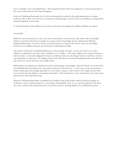lost to colonialism, such as the fabled Koh-i-Noor diamond of India which was repurposed as a jewel among many in the crown of the monarch of the United Kingdom.

In fact, the Dunhuang Manuscripts have lost their meaning and succumbed to the gatekeeping present in modern academia. Little of these revered texts are ever present in modern papers, and the owners are unwilling to relinquish their miniscule fragments of each script.

So when the bounties of the depths are uncovered, is their fate to be gatekept by academic authority once again?

## A FUTURE

Will these texts be restricted once more, not with a remote library concealed at the edge of the earth, but through arbitrary conventions that limit our equality in accessing common knowledge and our cultural roots? With the Dunhuang Manuscripts, we need not worry, for their prominence is already well-known. However, the Mogao Grottoes reveal a glimpse of human and social nature in gathering knowledge.

Our modern world boasts unparalleled infrastructure and universality of culture, and yet many choose to resort to tribalism to explain their own justice when worldviews are at conflict  $-$  if the many religious texts could not find peace with each other, or if invaders pillaged the Grottoes and destroyed the texts, the Mogao Grottoes would have ceased to exist long before its rediscovery. The Mogao Grottoes tell us that these acts decimate flourishing intellectual collections, and are the very reasons why they were initially sealed.

With modern sociocultural environments, the pursuit of knowledge is increasingly connected with the rest of the world. It is indubitable that knowledge serves more purpose than mere self-discovery - it is the source of fervent discussions online, and has grown increasingly dependent on social climate, acting as a stark contrast to the Mogao Grottoes that were once free from the influence of merchants and empires. This development is to be commended as one of the major advancements of the Information Age.

When the Dunhuang Manuscripts are published and serialized, along with all other artifacts of the past, perhaps we would have a more complete perspective on the history of humankind. Then, we can reach the pinnacle of the desert once more, only this time, illuminated by the sun and free from the clutching darkness of an unbeknownst grotto.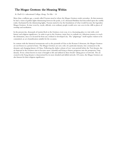# The Mogao Grottoes: the Meaning Within

## St. Paul's Co-educational College, Kong, Tsz Hin - 16

More than a millenia ago, a monk called Yuezun stood at where the Mogao Grottoes reside nowadays. At that moment, he had a vision of golden lights shimmering between the peaks, as if a thousand Budduas had descended upon the earthly realm. Enchanted by the shimmering lights, Yuezun started to lay the foundations of what would become the legendary Mogao Grottoes. As time went by, royals, officials, even ordinary people would carve out caves in the cliffs as places of worship and meditation.

In the present day, thousands of tourists flock to the Grottoes every year, it is a fascinating place to visit with a rich history and religious significance. In order to get to the Grottoes, many have to embark on a laborious journey to reach the destination, since it is located far from any civilized or developed city. The "pilgrimage" itself requires visitors to be committed, an act of purification suitable for the occasion.

In contrast with the historical monuments such as the pyramids of Giza or the Roman Colosseum, the Mogao Grottoes are not frozen in a period of time. The Mogao Grottoes are not a relic of a particular dynasty, but a testament to the dynamic and changing history of China. Following the darker colours of war-torn periods before the Tsui dynasty, the art depicted in the Grottoes start to become more colourful and living as history progresses into the prosperous Tang dynasty. Every colour known to man is brought to life and utilized in these breath-taking pieces of artwork. The art created in the Song dynasty is characterised by its more detailed and skilled artwork. Of course, the Mogao Grottoes are also famous for their religious significance.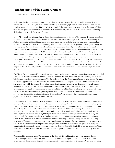## Hidden secrets of the Mogao Grottoes

St. Paul's Convent School, Chan, Maisie - 16

In the Mingsha Shan in Dunhuang, West Central China, there is a towering five-storey building arising from an escarpment. Inside lies a conglomeration of Buddhist temples, preserving a plethora of intoxicating Buddhist arts and priceless treasures. First constructed in 366 AD, it has stood tall for 1600 years, witnessing the transformation of China from the Sui dynasty to the modern 21st century. Not only was it a legend and a miracle, but it was also a testimony of civilization-- its name is the Mogao Grottoes.

In 366 AD, a monk arrived at the Sanwei Shan, the mountain opposite to the site of the grottoes. It was dawn, and the monk was looking for a place to rest. All of a sudden, he saw beams of radiant light in Sanwei Shan, shimmering as if Buddha had manifested himself in thousands of images. Believing that he had a religious experience, the monk knelt down and made a vow that he would build temples and grottoes there, turning the spot into a sacred place. During the Sui dynasty and the Tang dynasty, when Buddhism was the most prevalent religion in China, tens of thousands of pilgrims travelled miles and miles to visit the sacred temple. Devotees and believers of Buddhism came to seek for inner peace, some created masterpieces of Buddhist arts and added them to the collection of artifacts inside the grottoes. The construction continued for several dynasties. As the grottoes expanded in size and scale, more and more temples were built in the sanctum. The grottoes were expansive, it was no surprise that the construction and renovation process was excruciating. Nevertheless, numerous Buddhist believers devoted their time, sweat and blood to build the grottoes and ornate it with sculptures and murals. Many of them were simply commoners and normal citizens, without any special skills but earnestness and faith. Together, these exceptional nameless artists had recorded and passed down the glory of the past to their descendants, such that now we are able to see the prosperity of the ancient times through the murals and carvings.

The Mogao Grottoes was special, because it had been redecorated generation after generation. In each dynasty, work had been done to preserve the artifacts left behind from the previous dynasties, while new artwork was being added to the kaleidoscope of artifacts inside the grottoes. The Taj Mahal in India, the Colosseum of Rome in Italy, and the Pyramids of Giza in Egypt were all built at a time and they flourished only for a short period of time. Unlike other historical heritages in the world, the Mogao Grottoes had accumulated countless artwork across thousands of years. It was an embodiment of sacred, sincere faith of the multitude of Buddhist followers. It was an epitome of Chinese and Buddhist art throughout thousands of years. It was a witness of the history of China. Since Dunhuang was part of the silk road, merchants and travelers who walked past the grottoes often donated money for its construction and renovations in the hope of receiving good fortune in their journey. Only until the Yuan Dynasty, when the silk road was no longer popular, did the Mogao Grottoes become dilapidated.

Often referred to as the 'Chinese Palace of Versailles', the Mogao Grottoes had been known for its breathtaking murals, carvings and statues. Yet, beneath the fancy facade, lies a shameful tragedy that is yet to unveil. Back in the late Qing Dynasty, when the Mogao Caves had remained buried in the sand for hundreds of years, forgotten in history, a Taoist Priest, Wang Yuan-Lu, accidentally discovered the Mogao Grottoes. Bit by bit, he dug up the relics of the Mogao Grottoes from dusts and sand dunes. The secret chambers and underground tunnels, along with its countless ancient texts, scriptures and artifacts were brought to light. Being the discoverer of the legendary ancient caves, Wang was ironically both the greatest contributor to Dunhuang studies and one of the most notorious traitors to the Chinese nation. Bewildered and disoriented by the hitherto undiscovered Mogao Grottoes, Wang had informed the Qing government. Yet, due to the deserted geographical location of the Grottoes and the corrupt government bureaucracy, none of the government officials responded to Wang's report. As the news of the uncovery spreaded to European countries, foreigners travelled across continents to visit the Grottoes. Out of his despicable greed and ignorance, Wang traded the invaluable artifacts from the Grottoes for scraps of goods and pathetically less amount of money with the foreigners.

Years passed by, again and again, Wang's appeal to the Qing officials had been ignored--they thought that the transportation process would cost too much, nor did they understand the preciousness of the artifacts. Once again, adventurers, scholars and archeologists from foreign countries bereft the grottoes of its treasures. Years later, the Qing